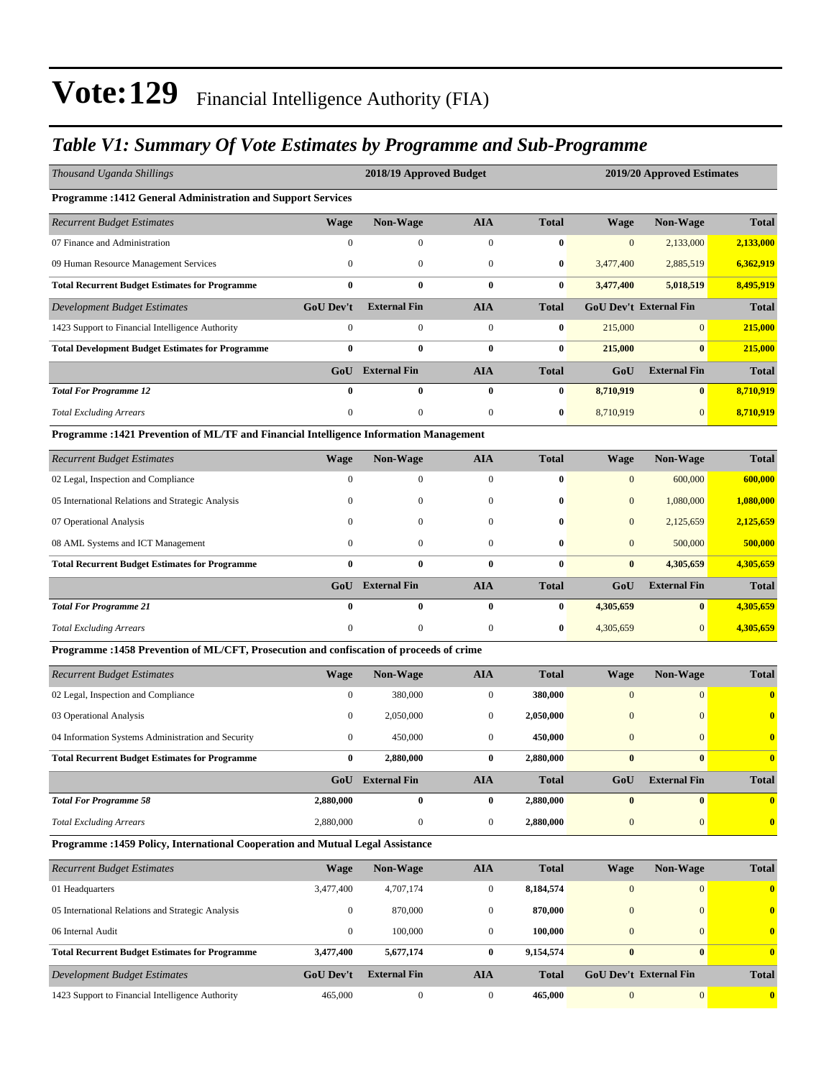### *Table V1: Summary Of Vote Estimates by Programme and Sub-Programme*

| Thousand Uganda Shillings                                                                |                  | 2018/19 Approved Budget                                   |                  |              |                  | 2019/20 Approved Estimates    |              |
|------------------------------------------------------------------------------------------|------------------|-----------------------------------------------------------|------------------|--------------|------------------|-------------------------------|--------------|
| Programme : 1412 General Administration and Support Services                             |                  |                                                           |                  |              |                  |                               |              |
| <b>Recurrent Budget Estimates</b>                                                        | <b>Wage</b>      | Non-Wage                                                  | <b>AIA</b>       | <b>Total</b> | <b>Wage</b>      | <b>Non-Wage</b>               | <b>Total</b> |
| 07 Finance and Administration                                                            | $\boldsymbol{0}$ | $\boldsymbol{0}$                                          | $\boldsymbol{0}$ | $\bf{0}$     | $\mathbf{0}$     | 2,133,000                     | 2,133,000    |
| 09 Human Resource Management Services                                                    | $\boldsymbol{0}$ | $\mathbf{0}$                                              | $\boldsymbol{0}$ | $\bf{0}$     | 3,477,400        | 2,885,519                     | 6,362,919    |
| <b>Total Recurrent Budget Estimates for Programme</b>                                    | $\bf{0}$         | $\bf{0}$                                                  | $\bf{0}$         | $\bf{0}$     | 3,477,400        | 5,018,519                     | 8,495,919    |
| <b>Development Budget Estimates</b>                                                      | GoU Dev't        | <b>External Fin</b>                                       | <b>AIA</b>       | <b>Total</b> |                  | <b>GoU Dev't External Fin</b> | <b>Total</b> |
| 1423 Support to Financial Intelligence Authority                                         | $\boldsymbol{0}$ | $\boldsymbol{0}$                                          | $\mathbf{0}$     | $\bf{0}$     | 215,000          | $\overline{0}$                | 215,000      |
| <b>Total Development Budget Estimates for Programme</b>                                  | $\bf{0}$         | $\bf{0}$                                                  | $\bf{0}$         | $\bf{0}$     | 215,000          | $\bf{0}$                      | 215,000      |
|                                                                                          | GoU              | <b>External Fin</b>                                       | <b>AIA</b>       | <b>Total</b> | GoU              | <b>External Fin</b>           | <b>Total</b> |
| <b>Total For Programme 12</b>                                                            | $\bf{0}$         | $\boldsymbol{0}$                                          | $\bf{0}$         | $\bf{0}$     | 8,710,919        | $\bf{0}$                      | 8,710,919    |
| <b>Total Excluding Arrears</b>                                                           | $\boldsymbol{0}$ | $\boldsymbol{0}$                                          | $\boldsymbol{0}$ | $\bf{0}$     | 8,710,919        | $\mathbf{0}$                  | 8,710,919    |
| Programme : 1421 Prevention of ML/TF and Financial Intelligence Information Management   |                  |                                                           |                  |              |                  |                               |              |
| <b>Recurrent Budget Estimates</b>                                                        | <b>Wage</b>      | <b>Non-Wage</b>                                           | <b>AIA</b>       | <b>Total</b> | Wage             | <b>Non-Wage</b>               | <b>Total</b> |
| 02 Legal, Inspection and Compliance                                                      | $\boldsymbol{0}$ | 0                                                         | $\boldsymbol{0}$ | $\bf{0}$     | $\mathbf{0}$     | 600,000                       | 600,000      |
| 05 International Relations and Strategic Analysis                                        | $\mathbf{0}$     | $\mathbf{0}$                                              | $\boldsymbol{0}$ | $\bf{0}$     | $\mathbf{0}$     | 1,080,000                     | 1,080,000    |
| 07 Operational Analysis                                                                  | $\mathbf{0}$     | $\boldsymbol{0}$                                          | $\boldsymbol{0}$ | $\bf{0}$     | $\mathbf{0}$     | 2,125,659                     | 2,125,659    |
| 08 AML Systems and ICT Management                                                        | $\mathbf{0}$     | $\boldsymbol{0}$                                          | $\boldsymbol{0}$ | $\bf{0}$     | $\mathbf{0}$     | 500,000                       | 500,000      |
| <b>Total Recurrent Budget Estimates for Programme</b>                                    | $\bf{0}$         | $\bf{0}$<br>$\bf{0}$<br>$\bf{0}$<br>$\bf{0}$<br>4,305,659 |                  | 4,305,659    |                  |                               |              |
|                                                                                          | GoU              | <b>External Fin</b>                                       | <b>AIA</b>       | <b>Total</b> | GoU              | <b>External Fin</b>           | <b>Total</b> |
| <b>Total For Programme 21</b>                                                            | $\bf{0}$         | $\bf{0}$                                                  | $\bf{0}$         | $\bf{0}$     | 4,305,659        | $\bf{0}$                      | 4,305,659    |
| <b>Total Excluding Arrears</b>                                                           | $\boldsymbol{0}$ | $\boldsymbol{0}$                                          | $\boldsymbol{0}$ | $\bf{0}$     | 4,305,659        | $\overline{0}$                | 4,305,659    |
| Programme : 1458 Prevention of ML/CFT, Prosecution and confiscation of proceeds of crime |                  |                                                           |                  |              |                  |                               |              |
| <b>Recurrent Budget Estimates</b>                                                        | <b>Wage</b>      | Non-Wage                                                  | <b>AIA</b>       | <b>Total</b> | <b>Wage</b>      | Non-Wage                      | <b>Total</b> |
| 02 Legal, Inspection and Compliance                                                      | $\boldsymbol{0}$ | 380,000                                                   | $\boldsymbol{0}$ | 380,000      | $\mathbf{0}$     | $\mathbf{0}$                  | $\mathbf{0}$ |
| 03 Operational Analysis                                                                  | $\boldsymbol{0}$ | 2,050,000                                                 | $\boldsymbol{0}$ | 2,050,000    | $\mathbf{0}$     | $\mathbf{0}$                  | $\bf{0}$     |
| 04 Information Systems Administration and Security                                       | $\boldsymbol{0}$ | 450,000                                                   | $\boldsymbol{0}$ | 450,000      | $\mathbf{0}$     | $\mathbf{0}$                  | $\bf{0}$     |
| <b>Total Recurrent Budget Estimates for Programme</b>                                    | $\bf{0}$         | 2,880,000                                                 | $\bf{0}$         | 2,880,000    | $\bf{0}$         | $\bf{0}$                      | $\bf{0}$     |
|                                                                                          |                  | GoU External Fin                                          | <b>AIA</b>       | <b>Total</b> | GoU              | <b>External Fin</b>           | <b>Total</b> |
| <b>Total For Programme 58</b>                                                            | 2,880,000        | $\bf{0}$                                                  | $\bf{0}$         | 2,880,000    | $\bf{0}$         | $\bf{0}$                      | $\bf{0}$     |
| <b>Total Excluding Arrears</b>                                                           | 2,880,000        | $\boldsymbol{0}$                                          | $\boldsymbol{0}$ | 2,880,000    | $\mathbf{0}$     | $\mathbf{0}$                  | $\bf{0}$     |
| Programme : 1459 Policy, International Cooperation and Mutual Legal Assistance           |                  |                                                           |                  |              |                  |                               |              |
| <b>Recurrent Budget Estimates</b>                                                        | <b>Wage</b>      | <b>Non-Wage</b>                                           | <b>AIA</b>       | <b>Total</b> | <b>Wage</b>      | <b>Non-Wage</b>               | Total        |
| 01 Headquarters                                                                          | 3,477,400        | 4,707,174                                                 | $\boldsymbol{0}$ | 8,184,574    | $\mathbf{0}$     | 0                             | $\bf{0}$     |
| 05 International Relations and Strategic Analysis                                        | $\boldsymbol{0}$ | 870,000                                                   | $\boldsymbol{0}$ | 870,000      | $\mathbf{0}$     | $\mathbf{0}$                  | $\bf{0}$     |
| 06 Internal Audit                                                                        | $\boldsymbol{0}$ | 100,000                                                   | $\boldsymbol{0}$ | 100,000      | $\mathbf{0}$     | $\overline{0}$                | $\bf{0}$     |
| <b>Total Recurrent Budget Estimates for Programme</b>                                    | 3,477,400        | 5,677,174                                                 | $\bf{0}$         | 9,154,574    | $\bf{0}$         | $\mathbf{0}$                  | $\bf{0}$     |
| <b>Development Budget Estimates</b>                                                      | <b>GoU Dev't</b> | <b>External Fin</b>                                       | <b>AIA</b>       | <b>Total</b> |                  | GoU Dev't External Fin        | <b>Total</b> |
| 1423 Support to Financial Intelligence Authority                                         | 465,000          | $\boldsymbol{0}$                                          | $\boldsymbol{0}$ | 465,000      | $\boldsymbol{0}$ | $\mathbf{0}$                  | $\bf{0}$     |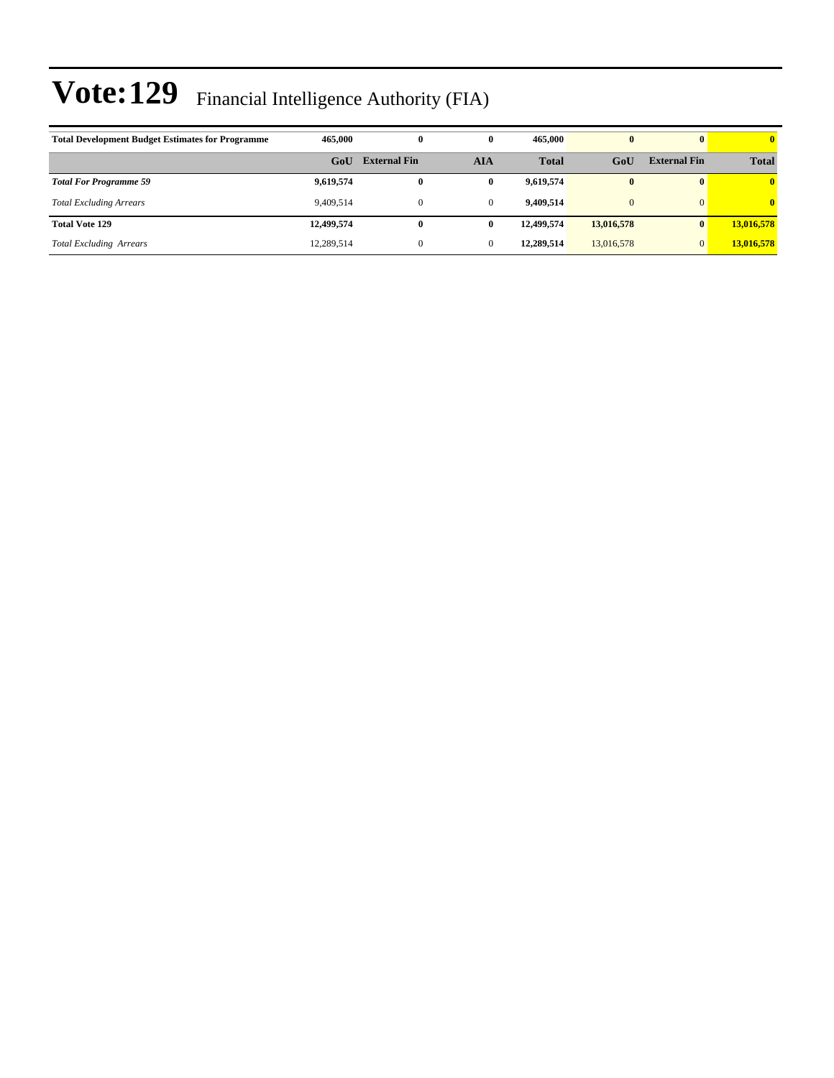| <b>Total Development Budget Estimates for Programme</b> | 465,000    | 0                   | $\bf{0}$     | 465,000      | $\bf{0}$       |                     | $\mathbf{0}$            |
|---------------------------------------------------------|------------|---------------------|--------------|--------------|----------------|---------------------|-------------------------|
|                                                         | GoU        | <b>External Fin</b> | AIA          | <b>Total</b> | GoU            | <b>External Fin</b> | <b>Total</b>            |
| <b>Total For Programme 59</b>                           | 9,619,574  | $\bf{0}$            | $\bf{0}$     | 9.619.574    | $\bf{0}$       |                     | $\overline{\mathbf{0}}$ |
| <b>Total Excluding Arrears</b>                          | 9.409.514  |                     | $\mathbf{0}$ | 9.409.514    | $\overline{0}$ |                     | $\mathbf{0}$            |
| <b>Total Vote 129</b>                                   | 12,499,574 | 0                   | 0            | 12,499,574   | 13,016,578     |                     | 13,016,578              |
| <b>Total Excluding Arrears</b>                          | 12,289,514 |                     | $\mathbf{0}$ | 12,289,514   | 13,016,578     |                     | 13,016,578              |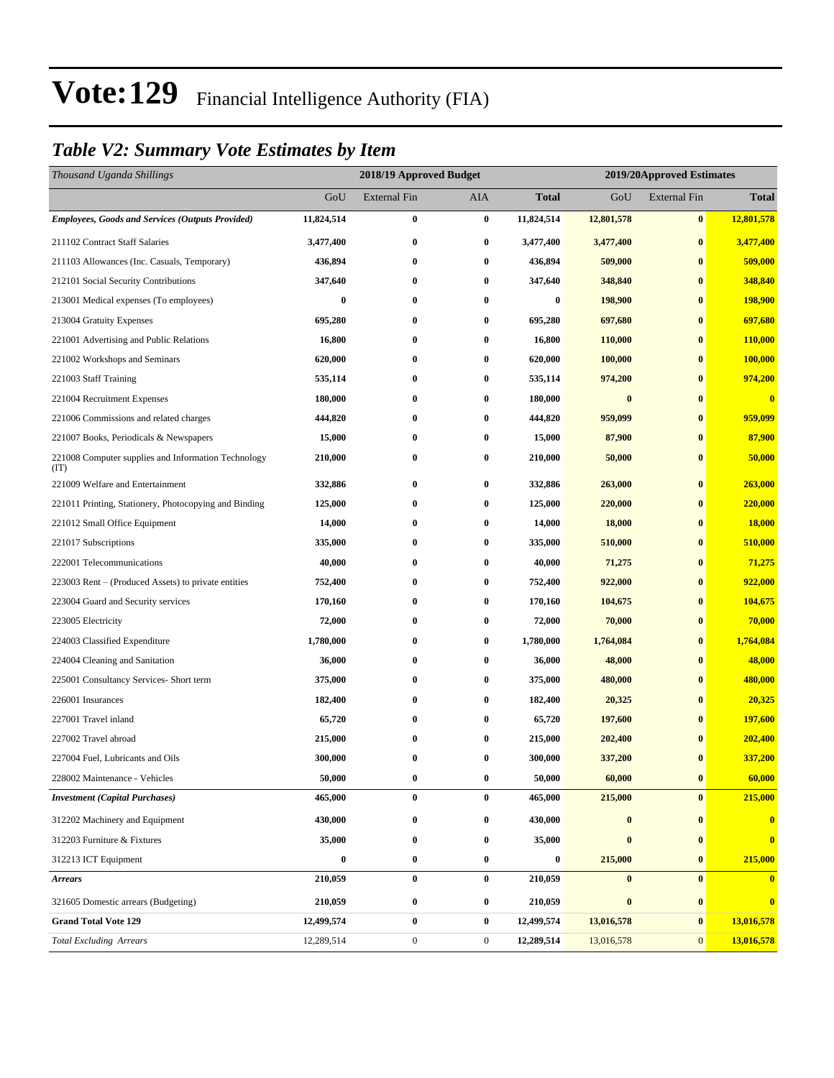### *Table V2: Summary Vote Estimates by Item*

| Thousand Uganda Shillings                                   |            | 2018/19 Approved Budget |                  |              |            | 2019/20Approved Estimates |                         |
|-------------------------------------------------------------|------------|-------------------------|------------------|--------------|------------|---------------------------|-------------------------|
|                                                             | GoU        | <b>External Fin</b>     | <b>AIA</b>       | <b>Total</b> | GoU        | <b>External Fin</b>       | <b>Total</b>            |
| <b>Employees, Goods and Services (Outputs Provided)</b>     | 11,824,514 | $\bf{0}$                | $\pmb{0}$        | 11,824,514   | 12,801,578 | $\bf{0}$                  | 12,801,578              |
| 211102 Contract Staff Salaries                              | 3,477,400  | $\bf{0}$                | $\bf{0}$         | 3,477,400    | 3,477,400  | $\bf{0}$                  | 3,477,400               |
| 211103 Allowances (Inc. Casuals, Temporary)                 | 436,894    | $\bf{0}$                | $\bf{0}$         | 436,894      | 509,000    | $\bf{0}$                  | 509,000                 |
| 212101 Social Security Contributions                        | 347,640    | $\bf{0}$                | $\bf{0}$         | 347,640      | 348,840    | $\bf{0}$                  | 348,840                 |
| 213001 Medical expenses (To employees)                      | 0          | $\bf{0}$                | $\bf{0}$         | 0            | 198,900    | $\bf{0}$                  | 198,900                 |
| 213004 Gratuity Expenses                                    | 695,280    | $\bf{0}$                | $\bf{0}$         | 695,280      | 697,680    | $\bf{0}$                  | 697,680                 |
| 221001 Advertising and Public Relations                     | 16,800     | $\bf{0}$                | $\bf{0}$         | 16,800       | 110,000    | $\bf{0}$                  | 110,000                 |
| 221002 Workshops and Seminars                               | 620,000    | $\bf{0}$                | $\boldsymbol{0}$ | 620,000      | 100,000    | $\bf{0}$                  | 100,000                 |
| 221003 Staff Training                                       | 535,114    | $\bf{0}$                | $\bf{0}$         | 535,114      | 974,200    | $\bf{0}$                  | 974,200                 |
| 221004 Recruitment Expenses                                 | 180,000    | $\bf{0}$                | $\bf{0}$         | 180,000      | $\bf{0}$   | $\bf{0}$                  | $\bf{0}$                |
| 221006 Commissions and related charges                      | 444,820    | $\bf{0}$                | $\bf{0}$         | 444,820      | 959,099    | $\bf{0}$                  | 959,099                 |
| 221007 Books, Periodicals & Newspapers                      | 15,000     | $\bf{0}$                | $\bf{0}$         | 15,000       | 87,900     | $\bf{0}$                  | 87,900                  |
| 221008 Computer supplies and Information Technology<br>(TT) | 210,000    | $\bf{0}$                | $\boldsymbol{0}$ | 210,000      | 50,000     | $\bf{0}$                  | 50,000                  |
| 221009 Welfare and Entertainment                            | 332,886    | $\bf{0}$                | $\bf{0}$         | 332,886      | 263,000    | $\bf{0}$                  | 263,000                 |
| 221011 Printing, Stationery, Photocopying and Binding       | 125,000    | $\bf{0}$                | $\bf{0}$         | 125,000      | 220,000    | $\bf{0}$                  | 220,000                 |
| 221012 Small Office Equipment                               | 14,000     | $\bf{0}$                | $\bf{0}$         | 14,000       | 18,000     | $\bf{0}$                  | 18,000                  |
| 221017 Subscriptions                                        | 335,000    | $\bf{0}$                | $\bf{0}$         | 335,000      | 510,000    | $\bf{0}$                  | 510,000                 |
| 222001 Telecommunications                                   | 40,000     | $\bf{0}$                | $\bf{0}$         | 40,000       | 71,275     | $\bf{0}$                  | 71,275                  |
| 223003 Rent – (Produced Assets) to private entities         | 752,400    | $\bf{0}$                | $\bf{0}$         | 752,400      | 922,000    | $\bf{0}$                  | 922,000                 |
| 223004 Guard and Security services                          | 170,160    | $\bf{0}$                | 0                | 170,160      | 104,675    | $\bf{0}$                  | 104,675                 |
| 223005 Electricity                                          | 72,000     | $\bf{0}$                | $\bf{0}$         | 72,000       | 70,000     | $\bf{0}$                  | 70,000                  |
| 224003 Classified Expenditure                               | 1,780,000  | $\bf{0}$                | $\bf{0}$         | 1,780,000    | 1,764,084  | $\bf{0}$                  | 1,764,084               |
| 224004 Cleaning and Sanitation                              | 36,000     | $\bf{0}$                | $\bf{0}$         | 36,000       | 48,000     | $\bf{0}$                  | 48,000                  |
| 225001 Consultancy Services- Short term                     | 375,000    | $\bf{0}$                | $\bf{0}$         | 375,000      | 480,000    | $\bf{0}$                  | 480,000                 |
| 226001 Insurances                                           | 182,400    | $\bf{0}$                | $\bf{0}$         | 182,400      | 20,325     | $\bf{0}$                  | 20,325                  |
| 227001 Travel inland                                        | 65,720     | $\bf{0}$                | $\bf{0}$         | 65,720       | 197,600    | $\bf{0}$                  | 197,600                 |
| 227002 Travel abroad                                        | 215,000    | $\bf{0}$                | $\bf{0}$         | 215,000      | 202,400    | $\bf{0}$                  | 202,400                 |
| 227004 Fuel, Lubricants and Oils                            | 300,000    | $\bf{0}$                | $\bf{0}$         | 300,000      | 337,200    | $\bf{0}$                  | 337,200                 |
| 228002 Maintenance - Vehicles                               | 50,000     | $\pmb{0}$               | $\pmb{0}$        | 50,000       | 60,000     | $\boldsymbol{0}$          | 60,000                  |
| <b>Investment</b> (Capital Purchases)                       | 465,000    | $\bf{0}$                | $\bf{0}$         | 465,000      | 215,000    | $\bf{0}$                  | 215,000                 |
| 312202 Machinery and Equipment                              | 430,000    | $\bf{0}$                | $\bf{0}$         | 430,000      | $\bf{0}$   | $\bf{0}$                  | $\overline{\mathbf{0}}$ |
| 312203 Furniture & Fixtures                                 | 35,000     | $\bf{0}$                | $\bf{0}$         | 35,000       | $\bf{0}$   | $\bf{0}$                  | $\bf{0}$                |
| 312213 ICT Equipment                                        | 0          | $\bf{0}$                | $\bf{0}$         | 0            | 215,000    | $\bf{0}$                  | 215,000                 |
| <b>Arrears</b>                                              | 210,059    | $\bf{0}$                | $\bf{0}$         | 210,059      | $\bf{0}$   | $\bf{0}$                  | $\overline{\mathbf{0}}$ |
| 321605 Domestic arrears (Budgeting)                         | 210,059    | $\bf{0}$                | $\bf{0}$         | 210,059      | $\bf{0}$   | $\bf{0}$                  | $\bf{0}$                |
| <b>Grand Total Vote 129</b>                                 | 12,499,574 | $\bf{0}$                | $\bf{0}$         | 12,499,574   | 13,016,578 | $\bf{0}$                  | 13,016,578              |
| <b>Total Excluding Arrears</b>                              | 12,289,514 | $\boldsymbol{0}$        | $\boldsymbol{0}$ | 12,289,514   | 13,016,578 | $\mathbf{0}$              | 13,016,578              |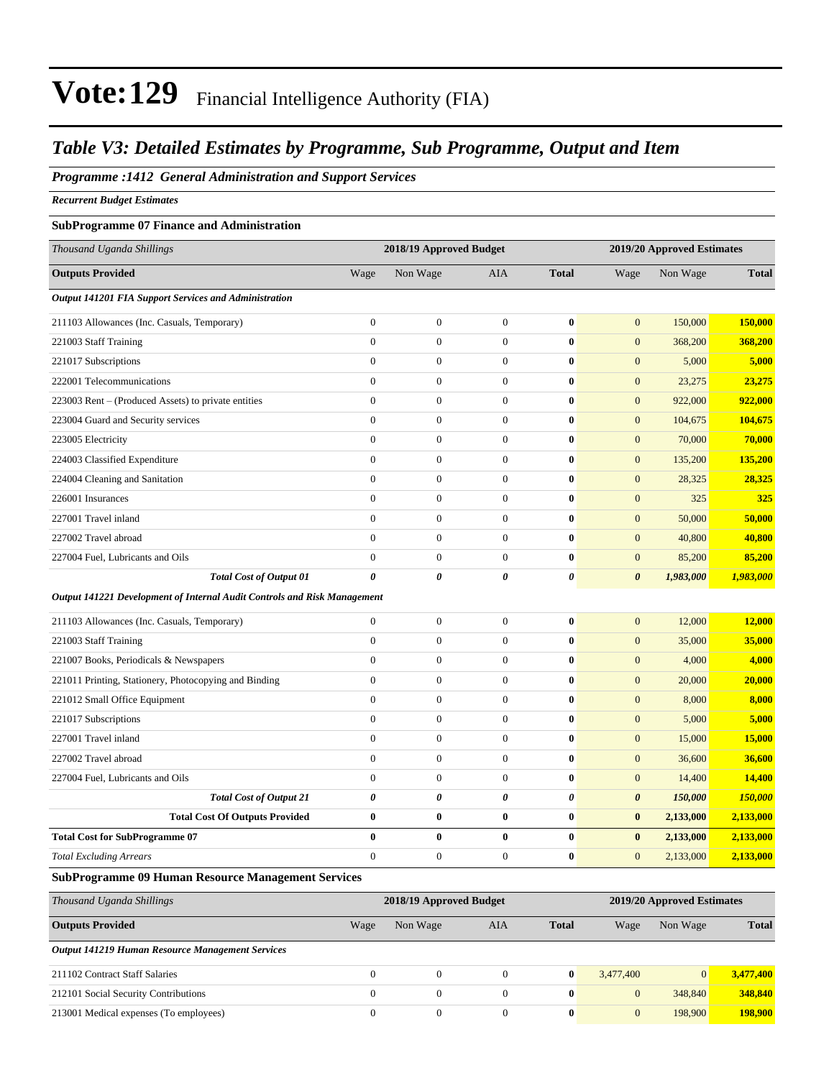#### *Table V3: Detailed Estimates by Programme, Sub Programme, Output and Item*

#### *Programme :1412 General Administration and Support Services*

*Recurrent Budget Estimates*

#### **SubProgramme 07 Finance and Administration**

| Thousand Uganda Shillings                                                |                  | 2018/19 Approved Budget |                       |                |                       | 2019/20 Approved Estimates |              |
|--------------------------------------------------------------------------|------------------|-------------------------|-----------------------|----------------|-----------------------|----------------------------|--------------|
| <b>Outputs Provided</b>                                                  | Wage             | Non Wage                | <b>AIA</b>            | <b>Total</b>   | Wage                  | Non Wage                   | <b>Total</b> |
| <b>Output 141201 FIA Support Services and Administration</b>             |                  |                         |                       |                |                       |                            |              |
| 211103 Allowances (Inc. Casuals, Temporary)                              | $\boldsymbol{0}$ | $\boldsymbol{0}$        | $\boldsymbol{0}$      | $\bf{0}$       | $\mathbf{0}$          | 150,000                    | 150,000      |
| 221003 Staff Training                                                    | $\overline{0}$   | $\overline{0}$          | $\boldsymbol{0}$      | $\bf{0}$       | $\mathbf{0}$          | 368,200                    | 368,200      |
| 221017 Subscriptions                                                     | $\overline{0}$   | $\boldsymbol{0}$        | $\boldsymbol{0}$      | $\bf{0}$       | $\mathbf{0}$          | 5,000                      | 5,000        |
| 222001 Telecommunications                                                | $\overline{0}$   | $\boldsymbol{0}$        | $\mathbf{0}$          | $\bf{0}$       | $\mathbf{0}$          | 23,275                     | 23,275       |
| 223003 Rent – (Produced Assets) to private entities                      | $\boldsymbol{0}$ | $\boldsymbol{0}$        | $\boldsymbol{0}$      | $\bf{0}$       | $\mathbf{0}$          | 922,000                    | 922,000      |
| 223004 Guard and Security services                                       | $\overline{0}$   | $\boldsymbol{0}$        | $\mathbf{0}$          | $\bf{0}$       | $\mathbf{0}$          | 104,675                    | 104,675      |
| 223005 Electricity                                                       | $\overline{0}$   | $\boldsymbol{0}$        | $\boldsymbol{0}$      | $\bf{0}$       | $\mathbf{0}$          | 70,000                     | 70,000       |
| 224003 Classified Expenditure                                            | $\boldsymbol{0}$ | $\boldsymbol{0}$        | $\mathbf{0}$          | $\bf{0}$       | $\boldsymbol{0}$      | 135,200                    | 135,200      |
| 224004 Cleaning and Sanitation                                           | $\overline{0}$   | $\boldsymbol{0}$        | $\mathbf{0}$          | $\bf{0}$       | $\mathbf{0}$          | 28,325                     | 28,325       |
| 226001 Insurances                                                        | $\overline{0}$   | $\boldsymbol{0}$        | $\boldsymbol{0}$      | $\bf{0}$       | $\mathbf{0}$          | 325                        | 325          |
| 227001 Travel inland                                                     | $\overline{0}$   | $\boldsymbol{0}$        | $\boldsymbol{0}$      | $\bf{0}$       | $\boldsymbol{0}$      | 50,000                     | 50,000       |
| 227002 Travel abroad                                                     | $\overline{0}$   | $\boldsymbol{0}$        | $\boldsymbol{0}$      | $\bf{0}$       | $\mathbf{0}$          | 40,800                     | 40,800       |
| 227004 Fuel, Lubricants and Oils                                         | $\overline{0}$   | $\overline{0}$          | $\overline{0}$        | $\bf{0}$       | $\overline{0}$        | 85,200                     | 85,200       |
| <b>Total Cost of Output 01</b>                                           | 0                | 0                       | $\boldsymbol{\theta}$ | $\pmb{\theta}$ | $\boldsymbol{\theta}$ | 1,983,000                  | 1,983,000    |
| Output 141221 Development of Internal Audit Controls and Risk Management |                  |                         |                       |                |                       |                            |              |
| 211103 Allowances (Inc. Casuals, Temporary)                              | $\boldsymbol{0}$ | $\boldsymbol{0}$        | $\boldsymbol{0}$      | $\bf{0}$       | $\mathbf{0}$          | 12,000                     | 12,000       |
| 221003 Staff Training                                                    | $\Omega$         | $\boldsymbol{0}$        | $\boldsymbol{0}$      | $\bf{0}$       | $\boldsymbol{0}$      | 35,000                     | 35,000       |
| 221007 Books, Periodicals & Newspapers                                   | $\overline{0}$   | $\boldsymbol{0}$        | $\boldsymbol{0}$      | $\bf{0}$       | $\mathbf{0}$          | 4,000                      | 4,000        |
| 221011 Printing, Stationery, Photocopying and Binding                    | $\overline{0}$   | $\overline{0}$          | $\mathbf{0}$          | $\bf{0}$       | $\mathbf{0}$          | 20,000                     | 20,000       |
| 221012 Small Office Equipment                                            | $\boldsymbol{0}$ | $\boldsymbol{0}$        | $\boldsymbol{0}$      | $\bf{0}$       | $\mathbf{0}$          | 8,000                      | 8,000        |
| 221017 Subscriptions                                                     | $\overline{0}$   | $\boldsymbol{0}$        | $\boldsymbol{0}$      | $\bf{0}$       | $\mathbf{0}$          | 5,000                      | 5,000        |
| 227001 Travel inland                                                     | $\overline{0}$   | $\boldsymbol{0}$        | $\boldsymbol{0}$      | $\bf{0}$       | $\mathbf{0}$          | 15,000                     | 15,000       |
| 227002 Travel abroad                                                     | $\mathbf{0}$     | $\boldsymbol{0}$        | $\boldsymbol{0}$      | $\bf{0}$       | $\mathbf{0}$          | 36,600                     | 36,600       |
| 227004 Fuel, Lubricants and Oils                                         | $\overline{0}$   | $\boldsymbol{0}$        | $\boldsymbol{0}$      | $\bf{0}$       | $\mathbf{0}$          | 14,400                     | 14,400       |
| <b>Total Cost of Output 21</b>                                           | 0                | 0                       | 0                     | 0              | $\boldsymbol{\theta}$ | 150,000                    | 150,000      |
| <b>Total Cost Of Outputs Provided</b>                                    | $\bf{0}$         | $\bf{0}$                | $\bf{0}$              | $\bf{0}$       | $\bf{0}$              | 2,133,000                  | 2,133,000    |
| <b>Total Cost for SubProgramme 07</b>                                    | $\bf{0}$         | $\bf{0}$                | $\bf{0}$              | $\bf{0}$       | $\bf{0}$              | 2,133,000                  | 2,133,000    |
| <b>Total Excluding Arrears</b>                                           | $\overline{0}$   | $\boldsymbol{0}$        | $\boldsymbol{0}$      | $\bf{0}$       | $\mathbf{0}$          | 2,133,000                  | 2,133,000    |
| <b>SubProgramme 09 Human Resource Management Services</b>                |                  |                         |                       |                |                       |                            |              |

| Thousand Uganda Shillings                        |      | 2018/19 Approved Budget |          |              |              | 2019/20 Approved Estimates |              |  |  |
|--------------------------------------------------|------|-------------------------|----------|--------------|--------------|----------------------------|--------------|--|--|
| <b>Outputs Provided</b>                          | Wage | Non Wage                | AIA      | <b>Total</b> | Wage         | Non Wage                   | <b>Total</b> |  |  |
| Output 141219 Human Resource Management Services |      |                         |          |              |              |                            |              |  |  |
| 211102 Contract Staff Salaries                   |      |                         | $\Omega$ | 0            | 3.477.400    | $\overline{0}$             | 3.477.400    |  |  |
| 212101 Social Security Contributions             |      |                         | $\Omega$ | $\mathbf{0}$ | $\mathbf{0}$ | 348,840                    | 348,840      |  |  |
| 213001 Medical expenses (To employees)           |      |                         |          | $\mathbf{0}$ | $\mathbf{0}$ | 198,900                    | 198,900      |  |  |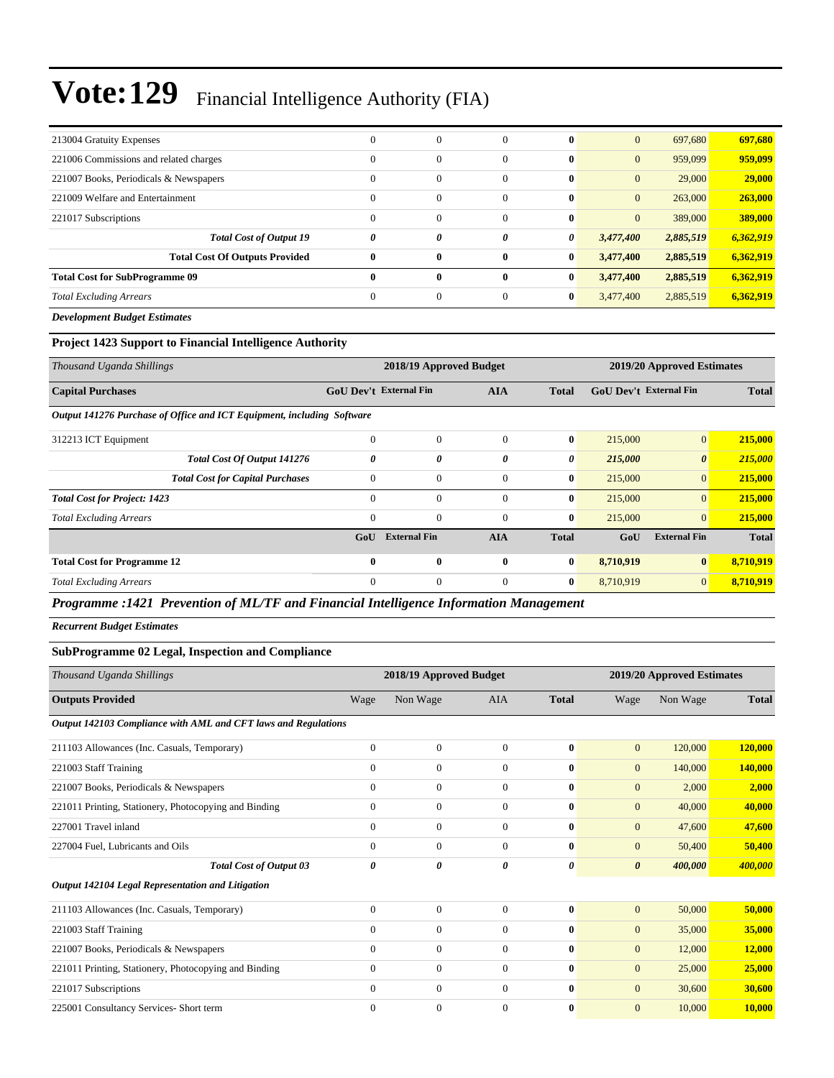| 213004 Gratuity Expenses               | $\Omega$     | $\overline{0}$ | $\Omega$     | $\mathbf{0}$ | $\mathbf{0}$ | 697,680   | 697,680   |
|----------------------------------------|--------------|----------------|--------------|--------------|--------------|-----------|-----------|
| 221006 Commissions and related charges | $\Omega$     | $\overline{0}$ | $\Omega$     | $\mathbf{0}$ | $\mathbf{0}$ | 959,099   | 959,099   |
| 221007 Books, Periodicals & Newspapers | $\Omega$     | $\overline{0}$ | $\Omega$     | $\mathbf{0}$ | $\mathbf{0}$ | 29,000    | 29,000    |
| 221009 Welfare and Entertainment       | $\Omega$     | $\mathbf{0}$   | $\Omega$     | $\mathbf{0}$ | $\mathbf{0}$ | 263,000   | 263,000   |
| 221017 Subscriptions                   | $\Omega$     | $\overline{0}$ | $\Omega$     | $\mathbf{0}$ | $\mathbf{0}$ | 389,000   | 389,000   |
| <b>Total Cost of Output 19</b>         | 0            | 0              | 0            | 0            | 3,477,400    | 2,885,519 | 6,362,919 |
| <b>Total Cost Of Outputs Provided</b>  | $\mathbf{0}$ | $\bf{0}$       | $\mathbf{0}$ | $\bf{0}$     | 3,477,400    | 2,885,519 | 6,362,919 |
| <b>Total Cost for SubProgramme 09</b>  | $\mathbf{0}$ | 0              | $\bf{0}$     | $\mathbf{0}$ | 3,477,400    | 2,885,519 | 6,362,919 |
| <b>Total Excluding Arrears</b>         | $\Omega$     | $\overline{0}$ | $\Omega$     | $\bf{0}$     | 3,477,400    | 2,885,519 | 6,362,919 |
| _ _ _ _ _ _                            |              |                |              |              |              |           |           |

*Development Budget Estimates*

#### **Project 1423 Support to Financial Intelligence Authority**

| Thousand Uganda Shillings                                              |                               | 2018/19 Approved Budget |                |              |                               | 2019/20 Approved Estimates |              |
|------------------------------------------------------------------------|-------------------------------|-------------------------|----------------|--------------|-------------------------------|----------------------------|--------------|
| <b>Capital Purchases</b>                                               | <b>GoU Dev't External Fin</b> |                         | <b>AIA</b>     | <b>Total</b> | <b>GoU Dev't External Fin</b> |                            | <b>Total</b> |
| Output 141276 Purchase of Office and ICT Equipment, including Software |                               |                         |                |              |                               |                            |              |
| 312213 ICT Equipment                                                   | $\mathbf{0}$                  | $\mathbf{0}$            | $\Omega$       | $\bf{0}$     | 215,000                       | $\mathbf{0}$               | 215,000      |
| Total Cost Of Output 141276                                            | $\theta$                      | 0                       | 0              | 0            | 215,000                       | $\boldsymbol{\theta}$      | 215,000      |
| <b>Total Cost for Capital Purchases</b>                                | $\overline{0}$                | $\mathbf{0}$            | $\mathbf{0}$   | $\bf{0}$     | 215,000                       | $\mathbf{0}$               | 215,000      |
| <b>Total Cost for Project: 1423</b>                                    | $\Omega$                      | $\mathbf{0}$            | $\Omega$       | $\bf{0}$     | 215,000                       | $\overline{0}$             | 215,000      |
| <b>Total Excluding Arrears</b>                                         | $\mathbf{0}$                  | $\mathbf{0}$            | $\mathbf{0}$   | $\bf{0}$     | 215,000                       | $\overline{0}$             | 215,000      |
|                                                                        | GoU                           | <b>External Fin</b>     | <b>AIA</b>     | <b>Total</b> | GoU                           | <b>External Fin</b>        | <b>Total</b> |
| <b>Total Cost for Programme 12</b>                                     | $\bf{0}$                      | $\bf{0}$                | $\mathbf{0}$   | $\bf{0}$     | 8,710,919                     | $\bf{0}$                   | 8,710,919    |
| <b>Total Excluding Arrears</b>                                         | $\overline{0}$                | $\mathbf{0}$            | $\overline{0}$ | $\bf{0}$     | 8,710,919                     | $\overline{0}$             | 8,710,919    |

*Programme :1421 Prevention of ML/TF and Financial Intelligence Information Management*

*Recurrent Budget Estimates*

#### **SubProgramme 02 Legal, Inspection and Compliance**

| Thousand Uganda Shillings                                      |                | 2018/19 Approved Budget |              |              |                       | 2019/20 Approved Estimates |              |
|----------------------------------------------------------------|----------------|-------------------------|--------------|--------------|-----------------------|----------------------------|--------------|
| <b>Outputs Provided</b>                                        | Wage           | Non Wage                | <b>AIA</b>   | <b>Total</b> | Wage                  | Non Wage                   | <b>Total</b> |
| Output 142103 Compliance with AML and CFT laws and Regulations |                |                         |              |              |                       |                            |              |
| 211103 Allowances (Inc. Casuals, Temporary)                    | $\overline{0}$ | $\boldsymbol{0}$        | $\mathbf{0}$ | $\bf{0}$     | $\mathbf{0}$          | 120,000                    | 120,000      |
| 221003 Staff Training                                          | $\Omega$       | $\boldsymbol{0}$        | $\mathbf{0}$ | $\bf{0}$     | $\mathbf{0}$          | 140,000                    | 140,000      |
| 221007 Books, Periodicals & Newspapers                         | $\Omega$       | $\overline{0}$          | $\mathbf{0}$ | $\bf{0}$     | $\mathbf{0}$          | 2,000                      | 2,000        |
| 221011 Printing, Stationery, Photocopying and Binding          | $\Omega$       | $\overline{0}$          | $\Omega$     | $\bf{0}$     | $\overline{0}$        | 40,000                     | 40,000       |
| 227001 Travel inland                                           | $\Omega$       | $\overline{0}$          | $\Omega$     | $\mathbf{0}$ | $\overline{0}$        | 47,600                     | 47,600       |
| 227004 Fuel, Lubricants and Oils                               | $\mathbf{0}$   | $\overline{0}$          | $\Omega$     | $\bf{0}$     | $\overline{0}$        | 50,400                     | 50,400       |
| <b>Total Cost of Output 03</b>                                 | 0              | 0                       | 0            | 0            | $\boldsymbol{\theta}$ | 400,000                    | 400,000      |
| Output 142104 Legal Representation and Litigation              |                |                         |              |              |                       |                            |              |
| 211103 Allowances (Inc. Casuals, Temporary)                    | $\Omega$       | $\mathbf{0}$            | $\Omega$     | $\bf{0}$     | $\overline{0}$        | 50,000                     | 50,000       |
| 221003 Staff Training                                          | $\overline{0}$ | $\overline{0}$          | $\mathbf{0}$ | $\bf{0}$     | $\overline{0}$        | 35,000                     | 35,000       |
| 221007 Books, Periodicals & Newspapers                         | $\mathbf{0}$   | $\overline{0}$          | $\Omega$     | $\mathbf{0}$ | $\overline{0}$        | 12,000                     | 12,000       |
| 221011 Printing, Stationery, Photocopying and Binding          | $\mathbf{0}$   | $\overline{0}$          | $\Omega$     | $\bf{0}$     | $\overline{0}$        | 25,000                     | 25,000       |
| 221017 Subscriptions                                           | $\Omega$       | $\boldsymbol{0}$        | $\Omega$     | $\mathbf{0}$ | $\mathbf{0}$          | 30,600                     | 30,600       |
| 225001 Consultancy Services- Short term                        | $\mathbf{0}$   | $\mathbf{0}$            | $\mathbf{0}$ | $\bf{0}$     | $\mathbf{0}$          | 10,000                     | 10,000       |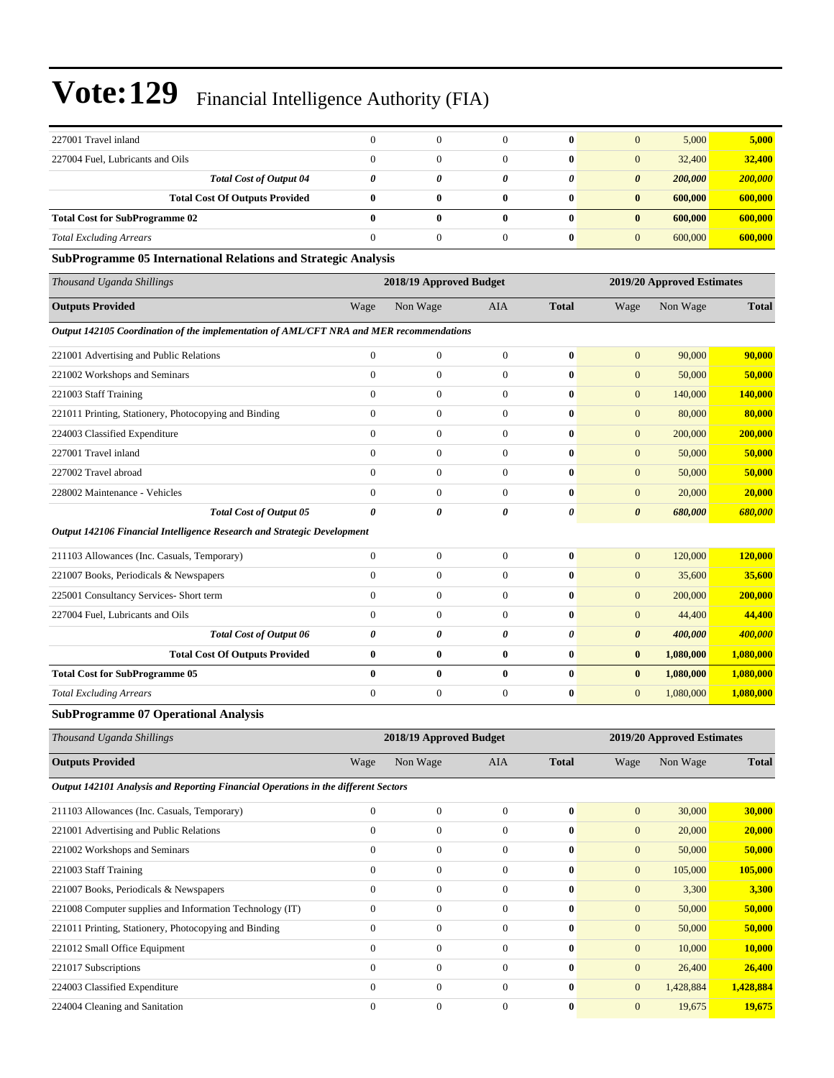| 227001 Travel inland                  |                                       |   |   | $\mathbf{0}$ | $\mathbf{0}$ | 5,000   | 5,000   |
|---------------------------------------|---------------------------------------|---|---|--------------|--------------|---------|---------|
| 227004 Fuel, Lubricants and Oils      |                                       |   |   | $\mathbf{0}$ | $\mathbf{0}$ | 32,400  | 32,400  |
|                                       | <b>Total Cost of Output 04</b>        | 0 |   | 0            | 0            | 200,000 | 200,000 |
|                                       | <b>Total Cost Of Outputs Provided</b> |   | 0 | $\mathbf{0}$ | $\bf{0}$     | 600,000 | 600,000 |
| <b>Total Cost for SubProgramme 02</b> |                                       |   | 0 | $\mathbf{0}$ | $\bf{0}$     | 600,000 | 600,000 |
| <b>Total Excluding Arrears</b>        |                                       |   |   | $\mathbf{0}$ | $\mathbf{0}$ | 600,000 | 600,000 |

#### **SubProgramme 05 International Relations and Strategic Analysis**

| Thousand Uganda Shillings                                                               |                | 2018/19 Approved Budget |                       |                       |                       | 2019/20 Approved Estimates |              |
|-----------------------------------------------------------------------------------------|----------------|-------------------------|-----------------------|-----------------------|-----------------------|----------------------------|--------------|
| <b>Outputs Provided</b>                                                                 | Wage           | Non Wage                | <b>AIA</b>            | <b>Total</b>          | Wage                  | Non Wage                   | <b>Total</b> |
| Output 142105 Coordination of the implementation of AML/CFT NRA and MER recommendations |                |                         |                       |                       |                       |                            |              |
| 221001 Advertising and Public Relations                                                 | $\Omega$       | $\overline{0}$          | $\Omega$              | $\bf{0}$              | $\overline{0}$        | 90,000                     | 90,000       |
| 221002 Workshops and Seminars                                                           | $\Omega$       | $\overline{0}$          | $\mathbf{0}$          | $\bf{0}$              | $\overline{0}$        | 50,000                     | 50,000       |
| 221003 Staff Training                                                                   | $\overline{0}$ | $\boldsymbol{0}$        | $\mathbf{0}$          | $\bf{0}$              | $\mathbf{0}$          | 140,000                    | 140,000      |
| 221011 Printing, Stationery, Photocopying and Binding                                   | $\overline{0}$ | $\boldsymbol{0}$        | $\mathbf{0}$          | $\bf{0}$              | $\mathbf{0}$          | 80,000                     | 80,000       |
| 224003 Classified Expenditure                                                           | $\overline{0}$ | $\overline{0}$          | $\mathbf{0}$          | $\bf{0}$              | $\mathbf{0}$          | 200,000                    | 200,000      |
| 227001 Travel inland                                                                    | $\overline{0}$ | $\mathbf{0}$            | $\overline{0}$        | $\bf{0}$              | $\overline{0}$        | 50,000                     | 50,000       |
| 227002 Travel abroad                                                                    | $\Omega$       | $\overline{0}$          | $\mathbf{0}$          | $\bf{0}$              | $\mathbf{0}$          | 50,000                     | 50,000       |
| 228002 Maintenance - Vehicles                                                           | $\overline{0}$ | $\overline{0}$          | $\mathbf{0}$          | $\bf{0}$              | $\overline{0}$        | 20,000                     | 20,000       |
| <b>Total Cost of Output 05</b>                                                          | 0              | 0                       | 0                     | 0                     | $\boldsymbol{\theta}$ | 680,000                    | 680,000      |
| Output 142106 Financial Intelligence Research and Strategic Development                 |                |                         |                       |                       |                       |                            |              |
| 211103 Allowances (Inc. Casuals, Temporary)                                             | $\overline{0}$ | $\overline{0}$          | $\overline{0}$        | $\bf{0}$              | $\mathbf{0}$          | 120,000                    | 120,000      |
| 221007 Books, Periodicals & Newspapers                                                  | $\overline{0}$ | $\overline{0}$          | $\mathbf{0}$          | $\bf{0}$              | $\overline{0}$        | 35,600                     | 35,600       |
| 225001 Consultancy Services- Short term                                                 | $\Omega$       | $\overline{0}$          | $\mathbf{0}$          | $\mathbf{0}$          | $\overline{0}$        | 200,000                    | 200,000      |
| 227004 Fuel, Lubricants and Oils                                                        | $\overline{0}$ | $\boldsymbol{0}$        | $\mathbf{0}$          | $\bf{0}$              | $\mathbf{0}$          | 44,400                     | 44,400       |
| <b>Total Cost of Output 06</b>                                                          | 0              | $\theta$                | $\boldsymbol{\theta}$ | $\boldsymbol{\theta}$ | $\boldsymbol{\theta}$ | 400,000                    | 400,000      |
| <b>Total Cost Of Outputs Provided</b>                                                   | $\bf{0}$       | $\bf{0}$                | $\bf{0}$              | $\bf{0}$              | $\bf{0}$              | 1,080,000                  | 1,080,000    |
| <b>Total Cost for SubProgramme 05</b>                                                   | $\bf{0}$       | $\bf{0}$                | $\bf{0}$              | $\bf{0}$              | $\bf{0}$              | 1,080,000                  | 1,080,000    |
| <b>Total Excluding Arrears</b>                                                          | $\overline{0}$ | $\boldsymbol{0}$        | $\boldsymbol{0}$      | $\bf{0}$              | $\mathbf{0}$          | 1,080,000                  | 1,080,000    |
| <b>SubProgramme 07 Operational Analysis</b>                                             |                |                         |                       |                       |                       |                            |              |
| Thousand Uganda Shillings                                                               |                | 2018/19 Approved Budget |                       |                       |                       | 2019/20 Approved Estimates |              |
| <b>Outputs Provided</b>                                                                 | Wage           | Non Wage                | <b>AIA</b>            | <b>Total</b>          | Wage                  | Non Wage                   | <b>Total</b> |

*Output 142101 Analysis and Reporting Financial Operations in the different Sectors*

| $\theta$ | $\overline{0}$ | $\mathbf{0}$ | $\mathbf{0}$ | $\overline{0}$ | 30,000    | 30,000    |
|----------|----------------|--------------|--------------|----------------|-----------|-----------|
| $\Omega$ | $\theta$       | $\Omega$     | $\mathbf{0}$ | $\overline{0}$ | 20,000    | 20,000    |
| $\theta$ | $\theta$       | $\mathbf{0}$ | $\mathbf{0}$ | $\overline{0}$ | 50,000    | 50,000    |
| $\Omega$ | $\overline{0}$ | $\mathbf{0}$ | $\mathbf{0}$ | $\overline{0}$ | 105,000   | 105,000   |
| $\Omega$ | $\theta$       | $\mathbf{0}$ | $\bf{0}$     | $\mathbf{0}$   | 3,300     | 3,300     |
| $\theta$ | $\theta$       | $\Omega$     | $\mathbf{0}$ | $\overline{0}$ | 50,000    | 50,000    |
| $\Omega$ | $\theta$       | $\Omega$     | $\mathbf{0}$ | $\overline{0}$ | 50,000    | 50,000    |
| $\Omega$ | $\theta$       | $\Omega$     | $\mathbf{0}$ | $\overline{0}$ | 10,000    | 10,000    |
| $\Omega$ | $\mathbf{0}$   | $\Omega$     | $\mathbf{0}$ | $\overline{0}$ | 26,400    | 26,400    |
| $\Omega$ | $\mathbf{0}$   | $\mathbf{0}$ | $\mathbf{0}$ | $\mathbf{0}$   | 1,428,884 | 1,428,884 |
|          | $\mathbf{0}$   |              | $\mathbf{0}$ | $\overline{0}$ | 19.675    | 19,675    |
|          |                |              |              |                |           |           |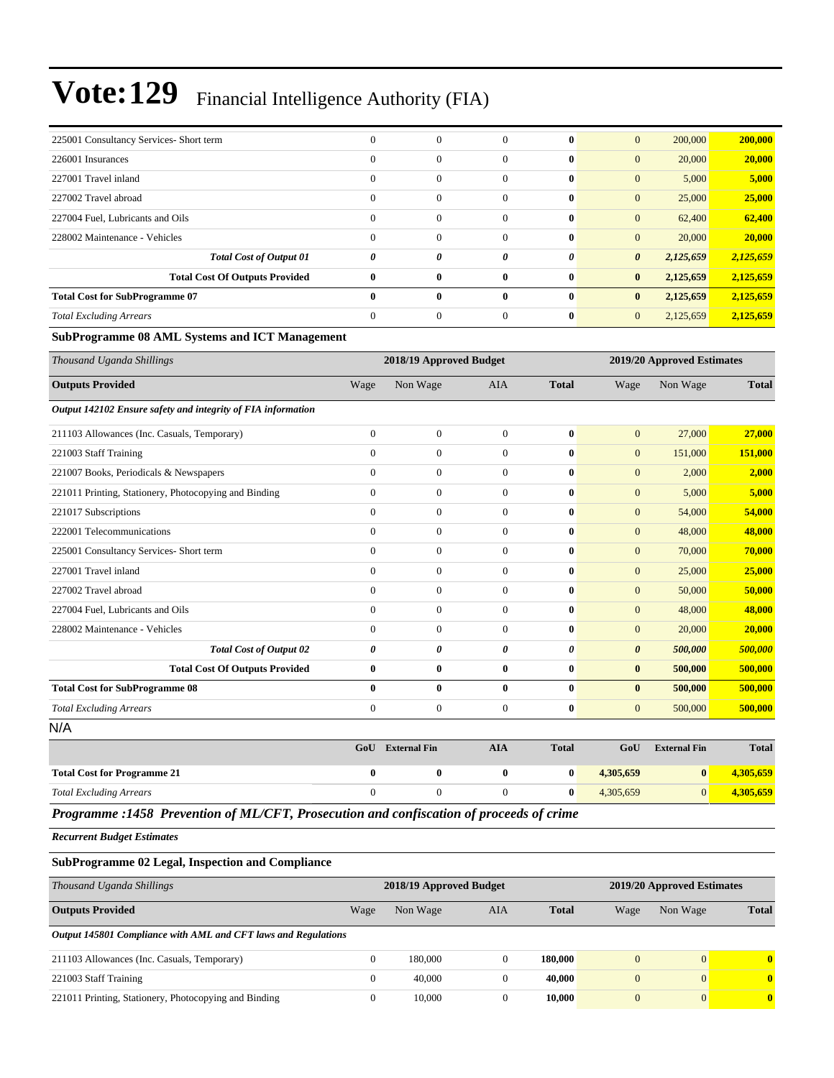| 225001 Consultancy Services- Short term | $\Omega$     |                  | $\Omega$     | $\mathbf{0}$ | $\mathbf{0}$<br>200,000            | 200,000   |
|-----------------------------------------|--------------|------------------|--------------|--------------|------------------------------------|-----------|
| 226001 Insurances                       | $\Omega$     | $\boldsymbol{0}$ | $\Omega$     | $\mathbf{0}$ | 20,000<br>$\mathbf{0}$             | 20,000    |
| 227001 Travel inland                    | $\Omega$     | $\overline{0}$   | $\Omega$     | $\mathbf{0}$ | $\mathbf{0}$<br>5,000              | 5,000     |
| 227002 Travel abroad                    | $\Omega$     | $\mathbf{0}$     | $\Omega$     | $\mathbf{0}$ | $\mathbf{0}$<br>25,000             | 25,000    |
| 227004 Fuel, Lubricants and Oils        | $\Omega$     | $\mathbf{0}$     | $\Omega$     | $\mathbf{0}$ | $\mathbf{0}$<br>62,400             | 62,400    |
| 228002 Maintenance - Vehicles           | $\Omega$     | $\overline{0}$   | $\Omega$     | $\mathbf{0}$ | $\mathbf{0}$<br>20,000             | 20,000    |
| <b>Total Cost of Output 01</b>          | 0            | 0                | 0            | 0            | $\boldsymbol{\theta}$<br>2,125,659 | 2,125,659 |
| <b>Total Cost Of Outputs Provided</b>   | $\mathbf{0}$ | 0                | $\mathbf{0}$ | $\mathbf{0}$ | 2,125,659<br>$\bf{0}$              | 2,125,659 |
| <b>Total Cost for SubProgramme 07</b>   | $\mathbf{0}$ | 0                | $\mathbf{0}$ | $\mathbf{0}$ | 2,125,659<br>$\bf{0}$              | 2,125,659 |
| <b>Total Excluding Arrears</b>          | $\Omega$     | $\mathbf{0}$     | $\Omega$     | $\mathbf{0}$ | $\mathbf{0}$<br>2,125,659          | 2,125,659 |

#### **SubProgramme 08 AML Systems and ICT Management**

| Thousand Uganda Shillings                                    |                | 2018/19 Approved Budget |                |              | 2019/20 Approved Estimates |                     |              |  |
|--------------------------------------------------------------|----------------|-------------------------|----------------|--------------|----------------------------|---------------------|--------------|--|
| <b>Outputs Provided</b>                                      | Wage           | Non Wage                | <b>AIA</b>     | <b>Total</b> | Wage                       | Non Wage            | <b>Total</b> |  |
| Output 142102 Ensure safety and integrity of FIA information |                |                         |                |              |                            |                     |              |  |
| 211103 Allowances (Inc. Casuals, Temporary)                  | $\overline{0}$ | $\overline{0}$          | $\overline{0}$ | $\bf{0}$     | $\mathbf{0}$               | 27,000              | 27,000       |  |
| 221003 Staff Training                                        | $\mathbf{0}$   | $\overline{0}$          | $\overline{0}$ | $\bf{0}$     | $\mathbf{0}$               | 151,000             | 151,000      |  |
| 221007 Books, Periodicals & Newspapers                       | $\mathbf{0}$   | $\mathbf{0}$            | $\overline{0}$ | $\bf{0}$     | $\mathbf{0}$               | 2,000               | 2,000        |  |
| 221011 Printing, Stationery, Photocopying and Binding        | $\overline{0}$ | $\boldsymbol{0}$        | $\overline{0}$ | $\bf{0}$     | $\mathbf{0}$               | 5,000               | 5,000        |  |
| 221017 Subscriptions                                         | $\mathbf{0}$   | $\mathbf{0}$            | $\overline{0}$ | $\bf{0}$     | $\mathbf{0}$               | 54,000              | 54,000       |  |
| 222001 Telecommunications                                    | $\Omega$       | $\mathbf{0}$            | $\overline{0}$ | $\bf{0}$     | $\mathbf{0}$               | 48,000              | 48,000       |  |
| 225001 Consultancy Services- Short term                      | $\overline{0}$ | $\boldsymbol{0}$        | $\overline{0}$ | $\bf{0}$     | $\mathbf{0}$               | 70,000              | 70,000       |  |
| 227001 Travel inland                                         | $\theta$       | $\mathbf{0}$            | $\overline{0}$ | $\bf{0}$     | $\mathbf{0}$               | 25,000              | 25,000       |  |
| 227002 Travel abroad                                         | $\overline{0}$ | $\overline{0}$          | $\overline{0}$ | $\bf{0}$     | $\mathbf{0}$               | 50,000              | 50,000       |  |
| 227004 Fuel, Lubricants and Oils                             | $\mathbf{0}$   | $\mathbf{0}$            | $\overline{0}$ | $\bf{0}$     | $\mathbf{0}$               | 48,000              | 48,000       |  |
| 228002 Maintenance - Vehicles                                | $\Omega$       | $\mathbf{0}$            | $\overline{0}$ | $\bf{0}$     | $\mathbf{0}$               | 20,000              | 20,000       |  |
| <b>Total Cost of Output 02</b>                               | 0              | $\theta$                | 0              | $\theta$     | $\boldsymbol{\theta}$      | 500,000             | 500,000      |  |
| <b>Total Cost Of Outputs Provided</b>                        | $\bf{0}$       | $\bf{0}$                | $\bf{0}$       | $\bf{0}$     | $\bf{0}$                   | 500,000             | 500,000      |  |
| <b>Total Cost for SubProgramme 08</b>                        | $\mathbf{0}$   | $\bf{0}$                | $\bf{0}$       | $\bf{0}$     | $\bf{0}$                   | 500,000             | 500,000      |  |
| <b>Total Excluding Arrears</b>                               | $\theta$       | $\mathbf{0}$            | $\overline{0}$ | $\bf{0}$     | $\mathbf{0}$               | 500,000             | 500,000      |  |
| N/A                                                          |                |                         |                |              |                            |                     |              |  |
|                                                              | GoU            | <b>External Fin</b>     | <b>AIA</b>     | <b>Total</b> | GoU                        | <b>External Fin</b> | <b>Total</b> |  |
| <b>Total Cost for Programme 21</b>                           | $\bf{0}$       | $\bf{0}$                | $\bf{0}$       | $\bf{0}$     | 4,305,659                  | $\bf{0}$            | 4,305,659    |  |
| <b>Total Excluding Arrears</b>                               | $\Omega$       | $\mathbf{0}$            | $\Omega$       | $\bf{0}$     | 4,305,659                  | $\Omega$            | 4,305,659    |  |

*Programme :1458 Prevention of ML/CFT, Prosecution and confiscation of proceeds of crime*

*Recurrent Budget Estimates*

#### **SubProgramme 02 Legal, Inspection and Compliance**

| Thousand Uganda Shillings                                      | 2018/19 Approved Budget |          |          |              |                | 2019/20 Approved Estimates |              |  |
|----------------------------------------------------------------|-------------------------|----------|----------|--------------|----------------|----------------------------|--------------|--|
| <b>Outputs Provided</b>                                        | Wage                    | Non Wage | AIA      | <b>Total</b> | Wage           | Non Wage                   | <b>Total</b> |  |
| Output 145801 Compliance with AML and CFT laws and Regulations |                         |          |          |              |                |                            |              |  |
| 211103 Allowances (Inc. Casuals, Temporary)                    | 0                       | 180,000  | $\Omega$ | 180,000      | $\mathbf{0}$   | $\overline{0}$             | $\mathbf{0}$ |  |
| 221003 Staff Training                                          | $\Omega$                | 40,000   |          | 40.000       | $\overline{0}$ | $\overline{0}$             | $\mathbf{0}$ |  |
| 221011 Printing, Stationery, Photocopying and Binding          | $\Omega$                | 10.000   | 0        | 10.000       | $\overline{0}$ | $\overline{0}$             | $\mathbf{0}$ |  |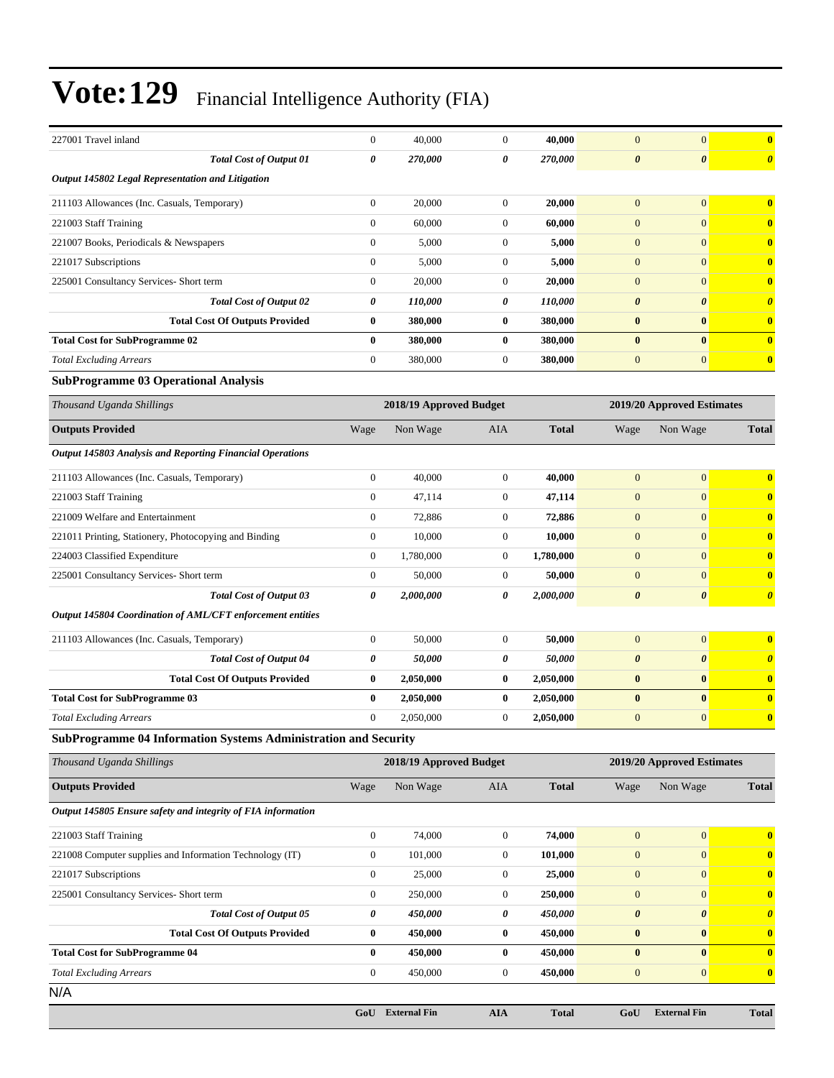| 227001 Travel inland                                            | $\boldsymbol{0}$ | 40,000                  | $\mathbf{0}$     | 40,000       | $\mathbf{0}$               | $\overline{0}$             | $\bf{0}$                |
|-----------------------------------------------------------------|------------------|-------------------------|------------------|--------------|----------------------------|----------------------------|-------------------------|
| <b>Total Cost of Output 01</b>                                  | 0                | 270,000                 | 0                | 270,000      | $\boldsymbol{\theta}$      | 0                          | $\boldsymbol{\theta}$   |
| Output 145802 Legal Representation and Litigation               |                  |                         |                  |              |                            |                            |                         |
| 211103 Allowances (Inc. Casuals, Temporary)                     | $\boldsymbol{0}$ | 20,000                  | $\boldsymbol{0}$ | 20,000       | $\mathbf{0}$               | $\overline{0}$             | $\bf{0}$                |
| 221003 Staff Training                                           | $\mathbf{0}$     | 60,000                  | $\boldsymbol{0}$ | 60,000       | $\mathbf{0}$               | $\overline{0}$             | $\bf{0}$                |
| 221007 Books, Periodicals & Newspapers                          | $\boldsymbol{0}$ | 5,000                   | $\boldsymbol{0}$ | 5,000        | $\mathbf{0}$               | $\mathbf{0}$               | $\bf{0}$                |
| 221017 Subscriptions                                            | $\boldsymbol{0}$ | 5,000                   | $\boldsymbol{0}$ | 5,000        | $\mathbf{0}$               | $\overline{0}$             | $\bf{0}$                |
| 225001 Consultancy Services- Short term                         | $\mathbf{0}$     | 20,000                  | $\boldsymbol{0}$ | 20,000       | $\mathbf{0}$               | $\overline{0}$             | $\bf{0}$                |
| <b>Total Cost of Output 02</b>                                  | 0                | 110,000                 | 0                | 110,000      | 0                          | 0                          | $\boldsymbol{\theta}$   |
| <b>Total Cost Of Outputs Provided</b>                           | $\bf{0}$         | 380,000                 | $\bf{0}$         | 380,000      | $\bf{0}$                   | $\bf{0}$                   | $\bf{0}$                |
| <b>Total Cost for SubProgramme 02</b>                           | $\bf{0}$         | 380,000                 | 0                | 380,000      | $\bf{0}$                   | $\bf{0}$                   | $\bf{0}$                |
| <b>Total Excluding Arrears</b>                                  | $\boldsymbol{0}$ | 380,000                 | $\mathbf{0}$     | 380,000      | $\mathbf{0}$               | $\mathbf{0}$               | $\bf{0}$                |
| <b>SubProgramme 03 Operational Analysis</b>                     |                  |                         |                  |              |                            |                            |                         |
| Thousand Uganda Shillings                                       |                  | 2018/19 Approved Budget |                  |              |                            | 2019/20 Approved Estimates |                         |
| <b>Outputs Provided</b>                                         | Wage             | Non Wage                | AIA              | <b>Total</b> | Wage                       | Non Wage                   | <b>Total</b>            |
| Output 145803 Analysis and Reporting Financial Operations       |                  |                         |                  |              |                            |                            |                         |
| 211103 Allowances (Inc. Casuals, Temporary)                     | $\mathbf{0}$     | 40,000                  | $\boldsymbol{0}$ | 40,000       | $\mathbf{0}$               | $\overline{0}$             | $\bf{0}$                |
| 221003 Staff Training                                           | $\mathbf{0}$     | 47,114                  | $\boldsymbol{0}$ | 47,114       | $\mathbf{0}$               | $\overline{0}$             | $\bf{0}$                |
| 221009 Welfare and Entertainment                                | $\mathbf{0}$     | 72,886                  | $\boldsymbol{0}$ | 72,886       | $\mathbf{0}$               | $\overline{0}$             | $\bf{0}$                |
| 221011 Printing, Stationery, Photocopying and Binding           | $\boldsymbol{0}$ | 10,000                  | $\boldsymbol{0}$ | 10,000       | $\mathbf{0}$               | $\mathbf{0}$               | $\bf{0}$                |
| 224003 Classified Expenditure                                   | $\boldsymbol{0}$ | 1,780,000               | $\boldsymbol{0}$ | 1,780,000    | $\mathbf{0}$               | $\overline{0}$             | $\bf{0}$                |
| 225001 Consultancy Services- Short term                         | $\boldsymbol{0}$ | 50,000                  | 0                | 50,000       | $\mathbf{0}$               | $\overline{0}$             | $\bf{0}$                |
| <b>Total Cost of Output 03</b>                                  | 0                | 2,000,000               | 0                | 2,000,000    | $\boldsymbol{\theta}$      | $\boldsymbol{\theta}$      | $\boldsymbol{\theta}$   |
| Output 145804 Coordination of AML/CFT enforcement entities      |                  |                         |                  |              |                            |                            |                         |
| 211103 Allowances (Inc. Casuals, Temporary)                     | $\boldsymbol{0}$ | 50,000                  | $\boldsymbol{0}$ | 50,000       | $\mathbf{0}$               | $\overline{0}$             | $\bf{0}$                |
| <b>Total Cost of Output 04</b>                                  | 0                | 50,000                  | 0                | 50,000       | $\boldsymbol{\theta}$      | 0                          | $\boldsymbol{\theta}$   |
| <b>Total Cost Of Outputs Provided</b>                           | $\bf{0}$         | 2,050,000               | 0                | 2,050,000    | $\bf{0}$                   | $\bf{0}$                   | $\bf{0}$                |
| <b>Total Cost for SubProgramme 03</b>                           | $\bf{0}$         | 2,050,000               | 0                | 2,050,000    | $\bf{0}$                   | $\bf{0}$                   | $\bf{0}$                |
| <b>Total Excluding Arrears</b>                                  | $\boldsymbol{0}$ | 2,050,000               | $\mathbf{0}$     | 2,050,000    | $\mathbf{0}$               | $\overline{0}$             | $\bf{0}$                |
| SubProgramme 04 Information Systems Administration and Security |                  |                         |                  |              |                            |                            |                         |
| Thousand Uganda Shillings                                       |                  | 2018/19 Approved Budget |                  |              | 2019/20 Approved Estimates |                            |                         |
| <b>Outputs Provided</b>                                         | Wage             | Non Wage                | AIA              | <b>Total</b> | Wage                       | Non Wage                   | <b>Total</b>            |
| Output 145805 Ensure safety and integrity of FIA information    |                  |                         |                  |              |                            |                            |                         |
| 221003 Staff Training                                           | $\mathbf{0}$     | 74,000                  | $\boldsymbol{0}$ | 74,000       | $\boldsymbol{0}$           | $\boldsymbol{0}$           | $\overline{\mathbf{0}}$ |
| 221008 Computer supplies and Information Technology (IT)        | $\boldsymbol{0}$ | 101,000                 | $\boldsymbol{0}$ | 101,000      | $\boldsymbol{0}$           | $\mathbf{0}$               | $\bf{0}$                |
| 221017 Subscriptions                                            | $\boldsymbol{0}$ | 25,000                  | $\boldsymbol{0}$ | 25,000       | $\mathbf{0}$               | $\mathbf{0}$               | $\bf{0}$                |
| 225001 Consultancy Services- Short term                         | $\boldsymbol{0}$ | 250,000                 | $\boldsymbol{0}$ | 250,000      | $\boldsymbol{0}$           | $\mathbf{0}$               | $\bf{0}$                |
| <b>Total Cost of Output 05</b>                                  | 0                | 450,000                 | 0                | 450,000      | $\boldsymbol{\theta}$      | $\boldsymbol{\theta}$      | $\boldsymbol{\theta}$   |
| <b>Total Cost Of Outputs Provided</b>                           | $\bf{0}$         | 450,000                 | $\boldsymbol{0}$ | 450,000      | $\bf{0}$                   | $\bf{0}$                   | $\bf{0}$                |
| <b>Total Cost for SubProgramme 04</b>                           | $\bf{0}$         | 450,000                 | $\boldsymbol{0}$ | 450,000      | $\bf{0}$                   | $\bf{0}$                   | $\bf{0}$                |
| <b>Total Excluding Arrears</b>                                  | $\boldsymbol{0}$ | 450,000                 | $\boldsymbol{0}$ | 450,000      | $\boldsymbol{0}$           | $\boldsymbol{0}$           | $\bf{0}$                |
| N/A                                                             |                  |                         |                  |              |                            |                            |                         |
|                                                                 | GoU              | <b>External Fin</b>     | ${\bf A I A}$    | <b>Total</b> | GoU                        | <b>External Fin</b>        | <b>Total</b>            |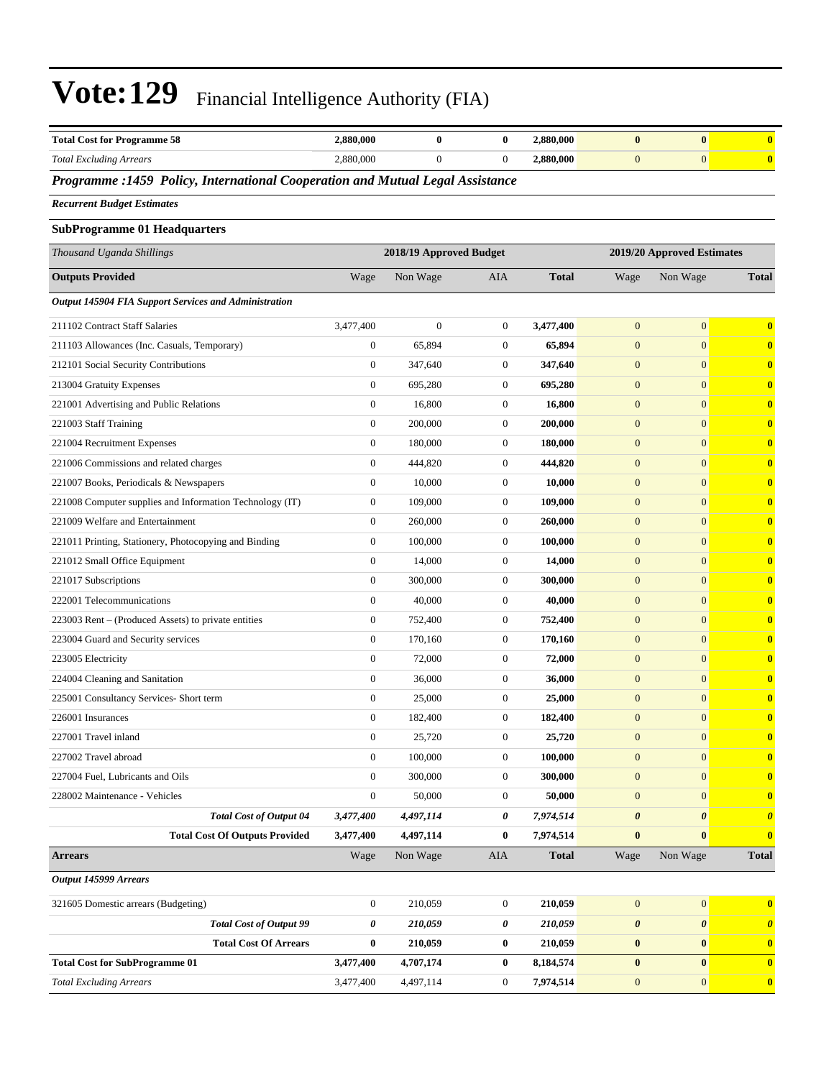| <b>Total Cost for Programme 58</b>                                            | 2,880,000        | $\bf{0}$                | $\bf{0}$         | 2,880,000                  | $\bf{0}$              | $\bf{0}$              | $\bf{0}$              |
|-------------------------------------------------------------------------------|------------------|-------------------------|------------------|----------------------------|-----------------------|-----------------------|-----------------------|
| <b>Total Excluding Arrears</b>                                                | 2,880,000        | $\boldsymbol{0}$        | $\mathbf{0}$     | 2,880,000                  | $\mathbf{0}$          | $\overline{0}$        | $\bf{0}$              |
| Programme :1459 Policy, International Cooperation and Mutual Legal Assistance |                  |                         |                  |                            |                       |                       |                       |
| <b>Recurrent Budget Estimates</b>                                             |                  |                         |                  |                            |                       |                       |                       |
| <b>SubProgramme 01 Headquarters</b>                                           |                  |                         |                  |                            |                       |                       |                       |
| Thousand Uganda Shillings                                                     |                  | 2018/19 Approved Budget |                  | 2019/20 Approved Estimates |                       |                       |                       |
| <b>Outputs Provided</b>                                                       | Wage             | Non Wage                | <b>AIA</b>       | <b>Total</b>               | Wage                  | Non Wage              | <b>Total</b>          |
| Output 145904 FIA Support Services and Administration                         |                  |                         |                  |                            |                       |                       |                       |
| 211102 Contract Staff Salaries                                                | 3,477,400        | $\boldsymbol{0}$        | $\boldsymbol{0}$ | 3,477,400                  | $\mathbf{0}$          | $\overline{0}$        | $\bf{0}$              |
| 211103 Allowances (Inc. Casuals, Temporary)                                   | $\boldsymbol{0}$ | 65,894                  | $\mathbf{0}$     | 65,894                     | $\mathbf{0}$          | $\boldsymbol{0}$      | $\bf{0}$              |
| 212101 Social Security Contributions                                          | $\boldsymbol{0}$ | 347,640                 | $\mathbf{0}$     | 347,640                    | $\mathbf{0}$          | $\overline{0}$        | $\bf{0}$              |
| 213004 Gratuity Expenses                                                      | 0                | 695,280                 | $\mathbf{0}$     | 695,280                    | $\mathbf{0}$          | $\boldsymbol{0}$      | $\bf{0}$              |
| 221001 Advertising and Public Relations                                       | $\boldsymbol{0}$ | 16,800                  | $\mathbf{0}$     | 16,800                     | $\mathbf{0}$          | $\boldsymbol{0}$      | $\bf{0}$              |
| 221003 Staff Training                                                         | $\boldsymbol{0}$ | 200,000                 | $\mathbf{0}$     | 200,000                    | $\mathbf{0}$          | $\overline{0}$        | $\bf{0}$              |
| 221004 Recruitment Expenses                                                   | $\boldsymbol{0}$ | 180,000                 | $\boldsymbol{0}$ | 180,000                    | $\mathbf{0}$          | $\boldsymbol{0}$      | $\bf{0}$              |
| 221006 Commissions and related charges                                        | $\boldsymbol{0}$ | 444,820                 | $\mathbf{0}$     | 444,820                    | $\mathbf{0}$          | $\overline{0}$        | $\bf{0}$              |
| 221007 Books, Periodicals & Newspapers                                        | 0                | 10,000                  | $\boldsymbol{0}$ | 10,000                     | $\mathbf{0}$          | $\boldsymbol{0}$      | $\bf{0}$              |
| 221008 Computer supplies and Information Technology (IT)                      | $\boldsymbol{0}$ | 109,000                 | $\boldsymbol{0}$ | 109,000                    | $\mathbf{0}$          | $\mathbf{0}$          | $\bf{0}$              |
| 221009 Welfare and Entertainment                                              | $\boldsymbol{0}$ | 260,000                 | $\boldsymbol{0}$ | 260,000                    | $\mathbf{0}$          | $\overline{0}$        | $\bf{0}$              |
| 221011 Printing, Stationery, Photocopying and Binding                         | $\boldsymbol{0}$ | 100,000                 | $\boldsymbol{0}$ | 100,000                    | $\mathbf{0}$          | $\boldsymbol{0}$      | $\bf{0}$              |
| 221012 Small Office Equipment                                                 | $\boldsymbol{0}$ | 14,000                  | $\mathbf{0}$     | 14,000                     | $\mathbf{0}$          | $\overline{0}$        | $\bf{0}$              |
| 221017 Subscriptions                                                          | $\boldsymbol{0}$ | 300,000                 | $\boldsymbol{0}$ | 300,000                    | $\mathbf{0}$          | $\boldsymbol{0}$      | $\bf{0}$              |
| 222001 Telecommunications                                                     | $\boldsymbol{0}$ | 40,000                  | $\boldsymbol{0}$ | 40,000                     | $\mathbf{0}$          | $\mathbf{0}$          | $\bf{0}$              |
| 223003 Rent – (Produced Assets) to private entities                           | $\boldsymbol{0}$ | 752,400                 | $\mathbf{0}$     | 752,400                    | $\mathbf{0}$          | $\overline{0}$        | $\bf{0}$              |
| 223004 Guard and Security services                                            | $\boldsymbol{0}$ | 170,160                 | $\boldsymbol{0}$ | 170,160                    | $\mathbf{0}$          | $\boldsymbol{0}$      | $\bf{0}$              |
| 223005 Electricity                                                            | $\overline{0}$   | 72,000                  | $\mathbf{0}$     | 72,000                     | $\mathbf{0}$          | $\overline{0}$        | $\bf{0}$              |
| 224004 Cleaning and Sanitation                                                | 0                | 36,000                  | $\boldsymbol{0}$ | 36,000                     | $\mathbf{0}$          | $\boldsymbol{0}$      | $\bf{0}$              |
| 225001 Consultancy Services- Short term                                       | $\boldsymbol{0}$ | 25,000                  | $\mathbf{0}$     | 25,000                     | $\mathbf{0}$          | $\mathbf{0}$          | $\bf{0}$              |
| 226001 Insurances                                                             | $\boldsymbol{0}$ | 182,400                 | $\mathbf{0}$     | 182,400                    | $\mathbf{0}$          | $\boldsymbol{0}$      | $\bf{0}$              |
| 227001 Travel inland                                                          | $\boldsymbol{0}$ | 25,720                  | 0                | 25,720                     | $\boldsymbol{0}$      | $\boldsymbol{0}$      | $\mathbf{0}$          |
| 227002 Travel abroad                                                          | $\boldsymbol{0}$ | 100,000                 | $\mathbf{0}$     | 100,000                    | $\mathbf{0}$          | $\mathbf{0}$          | $\bf{0}$              |
| 227004 Fuel, Lubricants and Oils                                              | $\boldsymbol{0}$ | 300,000                 | $\mathbf{0}$     | 300,000                    | $\mathbf{0}$          | $\overline{0}$        | $\bf{0}$              |
| 228002 Maintenance - Vehicles                                                 | $\boldsymbol{0}$ | 50,000                  | $\boldsymbol{0}$ | 50,000                     | $\boldsymbol{0}$      | $\overline{0}$        | $\bf{0}$              |
| <b>Total Cost of Output 04</b>                                                | 3,477,400        | 4,497,114               | 0                | 7,974,514                  | $\boldsymbol{\theta}$ | 0                     | $\boldsymbol{\theta}$ |
| <b>Total Cost Of Outputs Provided</b>                                         | 3,477,400        | 4,497,114               | $\bf{0}$         | 7,974,514                  | $\bf{0}$              | $\bf{0}$              | $\bf{0}$              |
| <b>Arrears</b>                                                                | Wage             | Non Wage                | AIA              | <b>Total</b>               | Wage                  | Non Wage              | <b>Total</b>          |
| Output 145999 Arrears                                                         |                  |                         |                  |                            |                       |                       |                       |
| 321605 Domestic arrears (Budgeting)                                           | $\boldsymbol{0}$ | 210,059                 | $\boldsymbol{0}$ | 210,059                    | $\mathbf{0}$          | $\mathbf{0}$          | $\bf{0}$              |
| <b>Total Cost of Output 99</b>                                                | 0                | 210,059                 | 0                | 210,059                    | $\boldsymbol{\theta}$ | $\boldsymbol{\theta}$ | $\boldsymbol{\theta}$ |
| <b>Total Cost Of Arrears</b>                                                  | $\bf{0}$         | 210,059                 | $\bf{0}$         | 210,059                    | $\pmb{0}$             | $\bf{0}$              | $\bf{0}$              |
| <b>Total Cost for SubProgramme 01</b>                                         | 3,477,400        | 4,707,174               | $\bf{0}$         | 8,184,574                  | $\bf{0}$              | $\bf{0}$              | $\bf{0}$              |
| <b>Total Excluding Arrears</b>                                                | 3,477,400        | 4,497,114               | $\boldsymbol{0}$ | 7,974,514                  | $\mathbf{0}$          | $\mathbf{0}$          | $\mathbf{0}$          |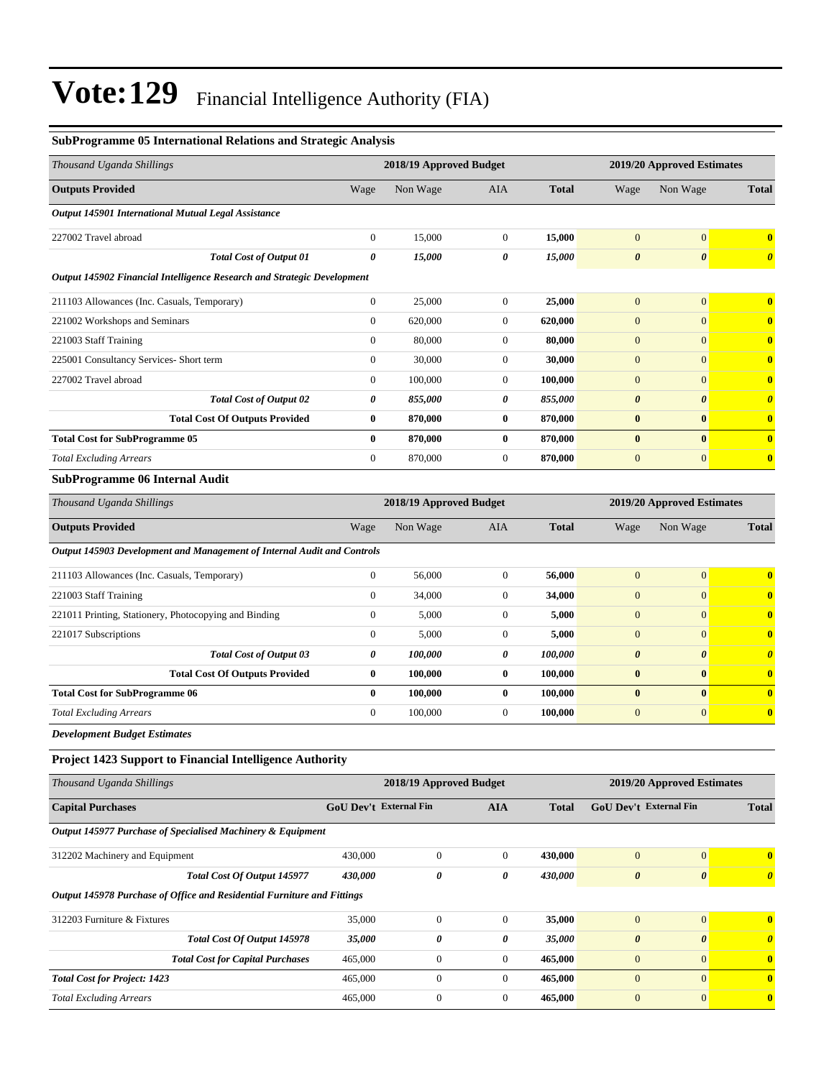#### **SubProgramme 05 International Relations and Strategic Analysis**

| Thousand Uganda Shillings                                               |                         | 2018/19 Approved Budget |                  |                            | 2019/20 Approved Estimates    |                       |                       |
|-------------------------------------------------------------------------|-------------------------|-------------------------|------------------|----------------------------|-------------------------------|-----------------------|-----------------------|
| <b>Outputs Provided</b>                                                 | Wage                    | Non Wage                | AIA              | <b>Total</b>               | Wage                          | Non Wage              | <b>Total</b>          |
| Output 145901 International Mutual Legal Assistance                     |                         |                         |                  |                            |                               |                       |                       |
| 227002 Travel abroad                                                    | $\mathbf{0}$            | 15,000                  | $\boldsymbol{0}$ | 15,000                     | $\mathbf{0}$                  | $\mathbf{0}$          | $\bf{0}$              |
| <b>Total Cost of Output 01</b>                                          | $\boldsymbol{\theta}$   | 15,000                  | 0                | 15,000                     | $\boldsymbol{\theta}$         | $\boldsymbol{\theta}$ | $\boldsymbol{\theta}$ |
| Output 145902 Financial Intelligence Research and Strategic Development |                         |                         |                  |                            |                               |                       |                       |
| 211103 Allowances (Inc. Casuals, Temporary)                             | $\boldsymbol{0}$        | 25,000                  | $\boldsymbol{0}$ | 25,000                     | $\boldsymbol{0}$              | $\mathbf{0}$          | $\bf{0}$              |
| 221002 Workshops and Seminars                                           | $\boldsymbol{0}$        | 620,000                 | $\boldsymbol{0}$ | 620,000                    | $\mathbf{0}$                  | $\mathbf{0}$          | $\mathbf{0}$          |
| 221003 Staff Training                                                   | $\boldsymbol{0}$        | 80,000                  | $\boldsymbol{0}$ | 80,000                     | $\boldsymbol{0}$              | $\mathbf{0}$          | $\bf{0}$              |
| 225001 Consultancy Services- Short term                                 | $\boldsymbol{0}$        | 30,000                  | 0                | 30,000                     | $\boldsymbol{0}$              | $\mathbf{0}$          | $\bf{0}$              |
| 227002 Travel abroad                                                    | $\boldsymbol{0}$        | 100,000                 | $\boldsymbol{0}$ | 100,000                    | $\boldsymbol{0}$              | $\mathbf{0}$          | $\bf{0}$              |
| <b>Total Cost of Output 02</b>                                          | 0                       | 855,000                 | 0                | 855,000                    | $\boldsymbol{\theta}$         | $\boldsymbol{\theta}$ | $\boldsymbol{\theta}$ |
| <b>Total Cost Of Outputs Provided</b>                                   | $\bf{0}$                | 870,000                 | 0                | 870,000                    | $\bf{0}$                      | $\bf{0}$              | $\bf{0}$              |
| <b>Total Cost for SubProgramme 05</b>                                   | $\bf{0}$                | 870,000                 | $\boldsymbol{0}$ | 870,000                    | $\bf{0}$                      | $\bf{0}$              | $\bf{0}$              |
| <b>Total Excluding Arrears</b>                                          | $\boldsymbol{0}$        | 870,000                 | $\boldsymbol{0}$ | 870,000                    | $\boldsymbol{0}$              | $\mathbf{0}$          | $\bf{0}$              |
| <b>SubProgramme 06 Internal Audit</b>                                   |                         |                         |                  |                            |                               |                       |                       |
| Thousand Uganda Shillings                                               | 2018/19 Approved Budget |                         |                  | 2019/20 Approved Estimates |                               |                       |                       |
| <b>Outputs Provided</b>                                                 | Wage                    | Non Wage                | AIA              | <b>Total</b>               | Wage                          | Non Wage              | <b>Total</b>          |
| Output 145903 Development and Management of Internal Audit and Controls |                         |                         |                  |                            |                               |                       |                       |
| 211103 Allowances (Inc. Casuals, Temporary)                             | $\boldsymbol{0}$        | 56,000                  | $\boldsymbol{0}$ | 56,000                     | $\mathbf{0}$                  | $\mathbf{0}$          | $\bf{0}$              |
| 221003 Staff Training                                                   | $\boldsymbol{0}$        | 34,000                  | 0                | 34,000                     | $\mathbf{0}$                  | $\mathbf{0}$          | $\bf{0}$              |
| 221011 Printing, Stationery, Photocopying and Binding                   | $\mathbf{0}$            | 5,000                   | $\boldsymbol{0}$ | 5,000                      | $\boldsymbol{0}$              | $\mathbf{0}$          | $\bf{0}$              |
| 221017 Subscriptions                                                    | $\boldsymbol{0}$        | 5,000                   | $\boldsymbol{0}$ | 5,000                      | $\boldsymbol{0}$              | $\mathbf{0}$          | $\bf{0}$              |
| <b>Total Cost of Output 03</b>                                          | 0                       | 100,000                 | 0                | 100,000                    | $\boldsymbol{\theta}$         | $\boldsymbol{\theta}$ | $\boldsymbol{\theta}$ |
| <b>Total Cost Of Outputs Provided</b>                                   | $\bf{0}$                | 100,000                 | 0                | 100,000                    | $\bf{0}$                      | $\bf{0}$              | $\bf{0}$              |
| <b>Total Cost for SubProgramme 06</b>                                   | $\bf{0}$                | 100,000                 | 0                | 100,000                    | $\bf{0}$                      | $\bf{0}$              | $\mathbf{0}$          |
| <b>Total Excluding Arrears</b>                                          | $\boldsymbol{0}$        | 100,000                 | $\boldsymbol{0}$ | 100,000                    | $\boldsymbol{0}$              | $\mathbf{0}$          | $\bf{0}$              |
| <b>Development Budget Estimates</b>                                     |                         |                         |                  |                            |                               |                       |                       |
| <b>Project 1423 Support to Financial Intelligence Authority</b>         |                         |                         |                  |                            |                               |                       |                       |
| Thousand Uganda Shillings                                               |                         | 2018/19 Approved Budget |                  |                            | 2019/20 Approved Estimates    |                       |                       |
| <b>Capital Purchases</b>                                                | GoU Dev't External Fin  |                         | <b>AIA</b>       | <b>Total</b>               | <b>GoU Dev't External Fin</b> |                       | <b>Total</b>          |
| Output 145977 Purchase of Specialised Machinery & Equipment             |                         |                         |                  |                            |                               |                       |                       |
| 312202 Machinery and Equipment                                          | 430,000                 | $\boldsymbol{0}$        | $\boldsymbol{0}$ | 430,000                    | $\mathbf{0}$                  | $\vert 0 \vert$       | $\mathbf{0}$          |
| Total Cost Of Output 145977                                             | 430,000                 | 0                       | 0                | 430,000                    | $\pmb{\theta}$                | $\boldsymbol{\theta}$ | $\boldsymbol{\theta}$ |
| Output 145978 Purchase of Office and Residential Furniture and Fittings |                         |                         |                  |                            |                               |                       |                       |
| 312203 Furniture & Fixtures                                             | 35,000                  | $\boldsymbol{0}$        | $\boldsymbol{0}$ | 35,000                     | $\boldsymbol{0}$              | 0                     | $\bf{0}$              |
| Total Cost Of Output 145978                                             | 35,000                  | 0                       | 0                | 35,000                     | $\pmb{\theta}$                | $\boldsymbol{\theta}$ | $\boldsymbol{\theta}$ |

*Total Cost for Capital Purchases* 465,000 0 0 **465,000** 0 0 **0**

*Total Cost for Project: 1423* 465,000 0 0 **465,000** 0 0 **0** *Total Excluding Arrears* 465,000 0 0 **465,000** 0 0 **0**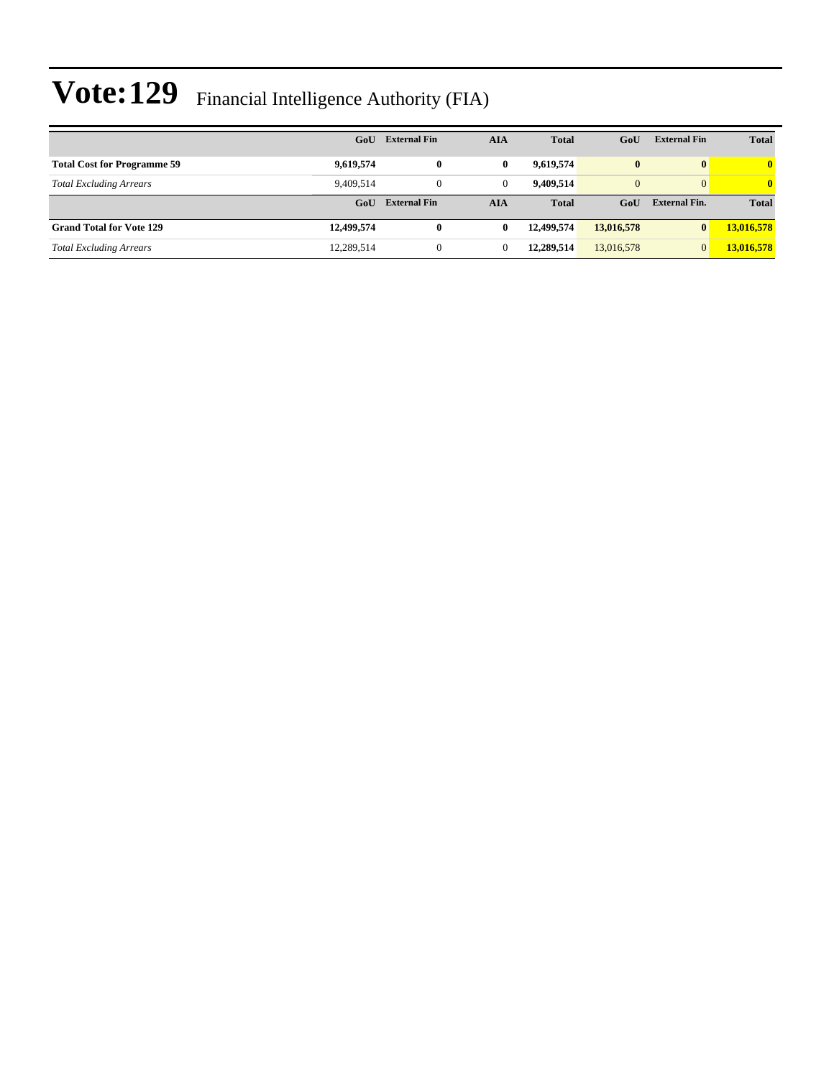|                                    | GoU        | <b>External Fin</b> | AIA            | <b>Total</b> | GoU            | <b>External Fin</b>  | <b>Total</b> |
|------------------------------------|------------|---------------------|----------------|--------------|----------------|----------------------|--------------|
| <b>Total Cost for Programme 59</b> | 9,619,574  | $\bf{0}$            | $\mathbf{0}$   | 9,619,574    | $\bf{0}$       | $\bf{0}$             | $\mathbf{0}$ |
| <b>Total Excluding Arrears</b>     | 9.409.514  | $\mathbf{0}$        | $\overline{0}$ | 9.409.514    | $\overline{0}$ | $\overline{0}$       | $\mathbf{0}$ |
|                                    | GoU        | <b>External Fin</b> | AIA            | <b>Total</b> | GoU            | <b>External Fin.</b> | <b>Total</b> |
| <b>Grand Total for Vote 129</b>    | 12,499,574 | $\bf{0}$            | $\bf{0}$       | 12,499,574   | 13,016,578     | $\bf{0}$             | 13,016,578   |
| <b>Total Excluding Arrears</b>     | 12,289,514 | $\overline{0}$      | 0              | 12.289.514   | 13,016,578     | $\overline{0}$       | 13,016,578   |